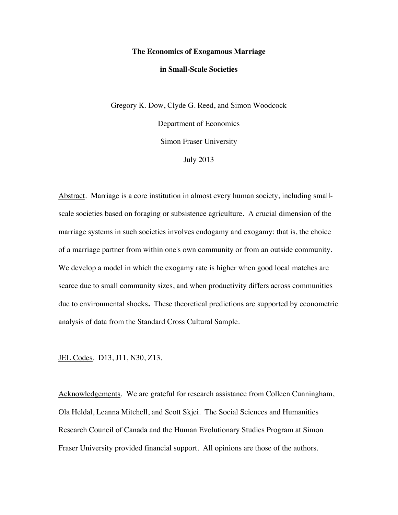#### **The Economics of Exogamous Marriage**

#### **in Small-Scale Societies**

Gregory K. Dow, Clyde G. Reed, and Simon Woodcock Department of Economics Simon Fraser University July 2013

Abstract. Marriage is a core institution in almost every human society, including smallscale societies based on foraging or subsistence agriculture. A crucial dimension of the marriage systems in such societies involves endogamy and exogamy: that is, the choice of a marriage partner from within one's own community or from an outside community. We develop a model in which the exogamy rate is higher when good local matches are scarce due to small community sizes, and when productivity differs across communities due to environmental shocks**.** These theoretical predictions are supported by econometric analysis of data from the Standard Cross Cultural Sample.

JEL Codes. D13, J11, N30, Z13.

Acknowledgements. We are grateful for research assistance from Colleen Cunningham, Ola Heldal, Leanna Mitchell, and Scott Skjei. The Social Sciences and Humanities Research Council of Canada and the Human Evolutionary Studies Program at Simon Fraser University provided financial support. All opinions are those of the authors.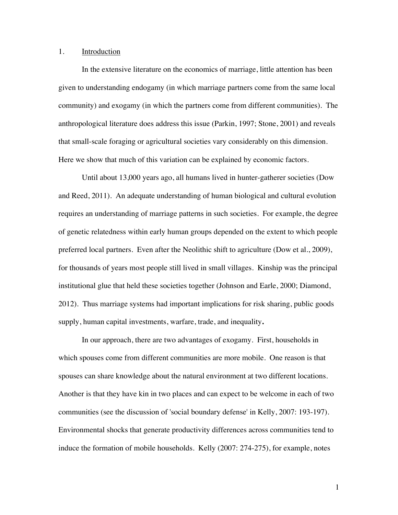## 1. Introduction

In the extensive literature on the economics of marriage, little attention has been given to understanding endogamy (in which marriage partners come from the same local community) and exogamy (in which the partners come from different communities). The anthropological literature does address this issue (Parkin, 1997; Stone, 2001) and reveals that small-scale foraging or agricultural societies vary considerably on this dimension. Here we show that much of this variation can be explained by economic factors.

Until about 13,000 years ago, all humans lived in hunter-gatherer societies (Dow and Reed, 2011). An adequate understanding of human biological and cultural evolution requires an understanding of marriage patterns in such societies. For example, the degree of genetic relatedness within early human groups depended on the extent to which people preferred local partners. Even after the Neolithic shift to agriculture (Dow et al., 2009), for thousands of years most people still lived in small villages. Kinship was the principal institutional glue that held these societies together (Johnson and Earle, 2000; Diamond, 2012). Thus marriage systems had important implications for risk sharing, public goods supply, human capital investments, warfare, trade, and inequality**.**

In our approach, there are two advantages of exogamy. First, households in which spouses come from different communities are more mobile. One reason is that spouses can share knowledge about the natural environment at two different locations. Another is that they have kin in two places and can expect to be welcome in each of two communities (see the discussion of 'social boundary defense' in Kelly, 2007: 193-197). Environmental shocks that generate productivity differences across communities tend to induce the formation of mobile households. Kelly (2007: 274-275), for example, notes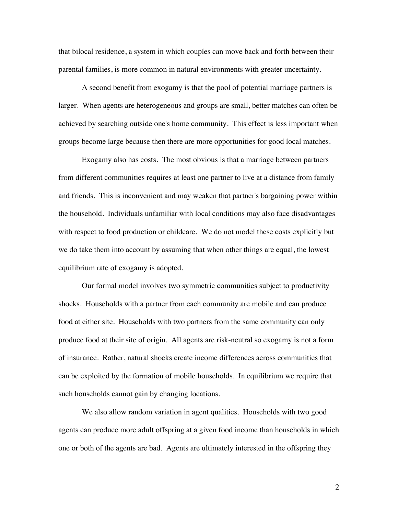that bilocal residence, a system in which couples can move back and forth between their parental families, is more common in natural environments with greater uncertainty.

A second benefit from exogamy is that the pool of potential marriage partners is larger. When agents are heterogeneous and groups are small, better matches can often be achieved by searching outside one's home community. This effect is less important when groups become large because then there are more opportunities for good local matches.

Exogamy also has costs. The most obvious is that a marriage between partners from different communities requires at least one partner to live at a distance from family and friends. This is inconvenient and may weaken that partner's bargaining power within the household. Individuals unfamiliar with local conditions may also face disadvantages with respect to food production or childcare. We do not model these costs explicitly but we do take them into account by assuming that when other things are equal, the lowest equilibrium rate of exogamy is adopted.

Our formal model involves two symmetric communities subject to productivity shocks. Households with a partner from each community are mobile and can produce food at either site. Households with two partners from the same community can only produce food at their site of origin. All agents are risk-neutral so exogamy is not a form of insurance. Rather, natural shocks create income differences across communities that can be exploited by the formation of mobile households. In equilibrium we require that such households cannot gain by changing locations.

We also allow random variation in agent qualities. Households with two good agents can produce more adult offspring at a given food income than households in which one or both of the agents are bad. Agents are ultimately interested in the offspring they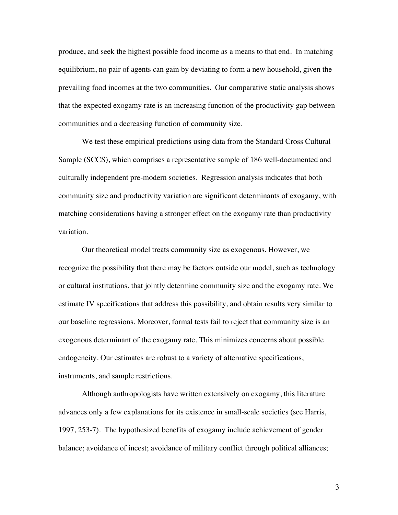produce, and seek the highest possible food income as a means to that end. In matching equilibrium, no pair of agents can gain by deviating to form a new household, given the prevailing food incomes at the two communities. Our comparative static analysis shows that the expected exogamy rate is an increasing function of the productivity gap between communities and a decreasing function of community size.

We test these empirical predictions using data from the Standard Cross Cultural Sample (SCCS), which comprises a representative sample of 186 well-documented and culturally independent pre-modern societies. Regression analysis indicates that both community size and productivity variation are significant determinants of exogamy, with matching considerations having a stronger effect on the exogamy rate than productivity variation.

Our theoretical model treats community size as exogenous. However, we recognize the possibility that there may be factors outside our model, such as technology or cultural institutions, that jointly determine community size and the exogamy rate. We estimate IV specifications that address this possibility, and obtain results very similar to our baseline regressions. Moreover, formal tests fail to reject that community size is an exogenous determinant of the exogamy rate. This minimizes concerns about possible endogeneity. Our estimates are robust to a variety of alternative specifications, instruments, and sample restrictions.

Although anthropologists have written extensively on exogamy, this literature advances only a few explanations for its existence in small-scale societies (see Harris, 1997, 253-7). The hypothesized benefits of exogamy include achievement of gender balance; avoidance of incest; avoidance of military conflict through political alliances;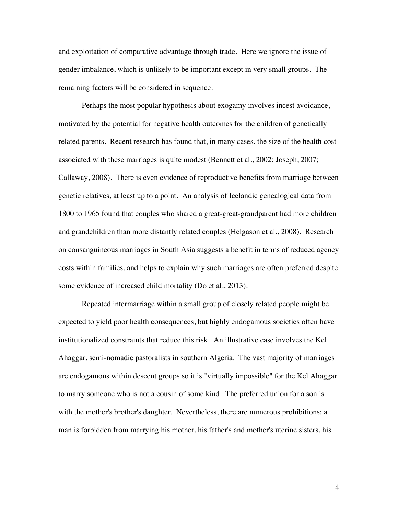and exploitation of comparative advantage through trade. Here we ignore the issue of gender imbalance, which is unlikely to be important except in very small groups. The remaining factors will be considered in sequence.

Perhaps the most popular hypothesis about exogamy involves incest avoidance, motivated by the potential for negative health outcomes for the children of genetically related parents. Recent research has found that, in many cases, the size of the health cost associated with these marriages is quite modest (Bennett et al., 2002; Joseph, 2007; Callaway, 2008). There is even evidence of reproductive benefits from marriage between genetic relatives, at least up to a point. An analysis of Icelandic genealogical data from 1800 to 1965 found that couples who shared a great-great-grandparent had more children and grandchildren than more distantly related couples (Helgason et al., 2008). Research on consanguineous marriages in South Asia suggests a benefit in terms of reduced agency costs within families, and helps to explain why such marriages are often preferred despite some evidence of increased child mortality (Do et al., 2013).

Repeated intermarriage within a small group of closely related people might be expected to yield poor health consequences, but highly endogamous societies often have institutionalized constraints that reduce this risk. An illustrative case involves the Kel Ahaggar, semi-nomadic pastoralists in southern Algeria. The vast majority of marriages are endogamous within descent groups so it is "virtually impossible" for the Kel Ahaggar to marry someone who is not a cousin of some kind. The preferred union for a son is with the mother's brother's daughter. Nevertheless, there are numerous prohibitions: a man is forbidden from marrying his mother, his father's and mother's uterine sisters, his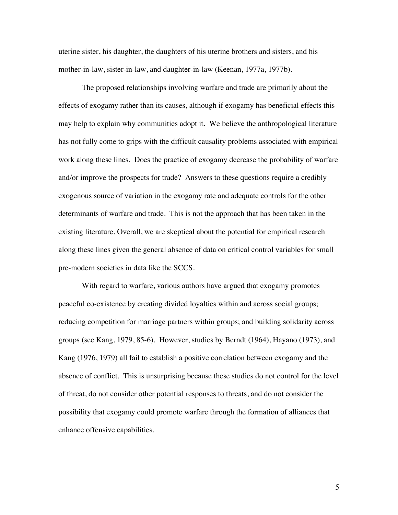uterine sister, his daughter, the daughters of his uterine brothers and sisters, and his mother-in-law, sister-in-law, and daughter-in-law (Keenan, 1977a, 1977b).

The proposed relationships involving warfare and trade are primarily about the effects of exogamy rather than its causes, although if exogamy has beneficial effects this may help to explain why communities adopt it. We believe the anthropological literature has not fully come to grips with the difficult causality problems associated with empirical work along these lines. Does the practice of exogamy decrease the probability of warfare and/or improve the prospects for trade? Answers to these questions require a credibly exogenous source of variation in the exogamy rate and adequate controls for the other determinants of warfare and trade. This is not the approach that has been taken in the existing literature. Overall, we are skeptical about the potential for empirical research along these lines given the general absence of data on critical control variables for small pre-modern societies in data like the SCCS.

With regard to warfare, various authors have argued that exogamy promotes peaceful co-existence by creating divided loyalties within and across social groups; reducing competition for marriage partners within groups; and building solidarity across groups (see Kang, 1979, 85-6). However, studies by Berndt (1964), Hayano (1973), and Kang (1976, 1979) all fail to establish a positive correlation between exogamy and the absence of conflict. This is unsurprising because these studies do not control for the level of threat, do not consider other potential responses to threats, and do not consider the possibility that exogamy could promote warfare through the formation of alliances that enhance offensive capabilities.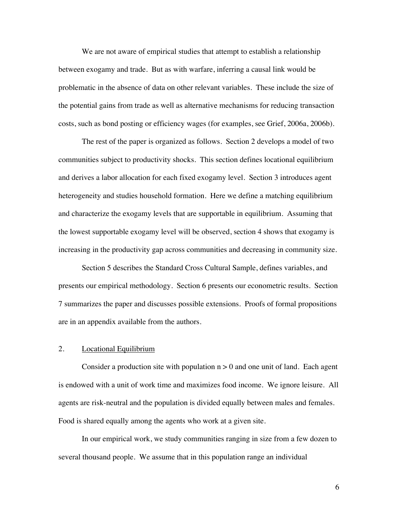We are not aware of empirical studies that attempt to establish a relationship between exogamy and trade. But as with warfare, inferring a causal link would be problematic in the absence of data on other relevant variables. These include the size of the potential gains from trade as well as alternative mechanisms for reducing transaction costs, such as bond posting or efficiency wages (for examples, see Grief, 2006a, 2006b).

The rest of the paper is organized as follows. Section 2 develops a model of two communities subject to productivity shocks. This section defines locational equilibrium and derives a labor allocation for each fixed exogamy level. Section 3 introduces agent heterogeneity and studies household formation. Here we define a matching equilibrium and characterize the exogamy levels that are supportable in equilibrium. Assuming that the lowest supportable exogamy level will be observed, section 4 shows that exogamy is increasing in the productivity gap across communities and decreasing in community size.

Section 5 describes the Standard Cross Cultural Sample, defines variables, and presents our empirical methodology. Section 6 presents our econometric results. Section 7 summarizes the paper and discusses possible extensions. Proofs of formal propositions are in an appendix available from the authors.

#### 2. Locational Equilibrium

Consider a production site with population  $n > 0$  and one unit of land. Each agent is endowed with a unit of work time and maximizes food income. We ignore leisure. All agents are risk-neutral and the population is divided equally between males and females. Food is shared equally among the agents who work at a given site.

In our empirical work, we study communities ranging in size from a few dozen to several thousand people. We assume that in this population range an individual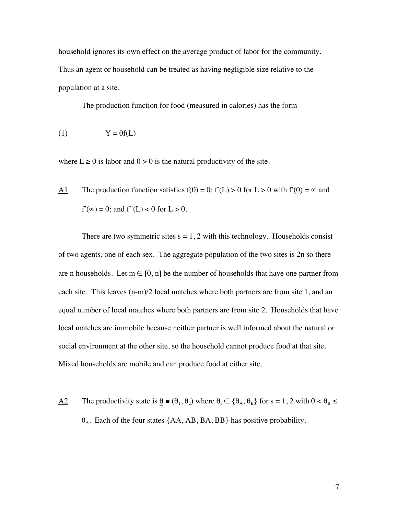household ignores its own effect on the average product of labor for the community. Thus an agent or household can be treated as having negligible size relative to the population at a site.

The production function for food (measured in calories) has the form

$$
(1) \tY = \theta f(L)
$$

where  $L \ge 0$  is labor and  $\theta > 0$  is the natural productivity of the site.

A1 The production function satisfies  $f(0) = 0$ ;  $f'(L) > 0$  for  $L > 0$  with  $f'(0) = \infty$  and  $f'(\infty) = 0$ ; and  $f''(L) < 0$  for  $L > 0$ .

There are two symmetric sites  $s = 1, 2$  with this technology. Households consist of two agents, one of each sex. The aggregate population of the two sites is 2n so there are n households. Let  $m \in [0, n]$  be the number of households that have one partner from each site. This leaves (n-m)/2 local matches where both partners are from site 1, and an equal number of local matches where both partners are from site 2. Households that have local matches are immobile because neither partner is well informed about the natural or social environment at the other site, so the household cannot produce food at that site. Mixed households are mobile and can produce food at either site.

A2 The productivity state is  $\theta = (\theta_1, \theta_2)$  where  $\theta_1 \in {\theta_A}, \theta_B$  for s = 1, 2 with  $0 < \theta_B \le$  $\theta_A$ . Each of the four states {AA, AB, BA, BB} has positive probability.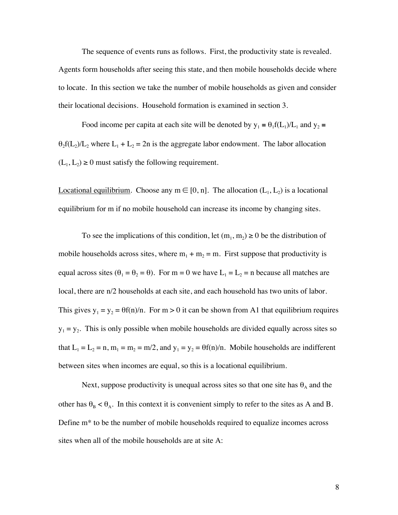The sequence of events runs as follows. First, the productivity state is revealed. Agents form households after seeing this state, and then mobile households decide where to locate. In this section we take the number of mobile households as given and consider their locational decisions. Household formation is examined in section 3.

Food income per capita at each site will be denoted by  $y_1 = \theta_1 f(L_1)/L_1$  and  $y_2 =$  $\theta_2 f(L_2)/L_2$  where  $L_1 + L_2 = 2n$  is the aggregate labor endowment. The labor allocation  $(L_1, L_2) \ge 0$  must satisfy the following requirement.

Locational equilibrium. Choose any  $m \in [0, n]$ . The allocation  $(L_1, L_2)$  is a locational equilibrium for m if no mobile household can increase its income by changing sites.

To see the implications of this condition, let  $(m_1, m_2) \ge 0$  be the distribution of mobile households across sites, where  $m_1 + m_2 = m$ . First suppose that productivity is equal across sites  $(\theta_1 = \theta_2 = \theta)$ . For m = 0 we have L<sub>1</sub> = L<sub>2</sub> = n because all matches are local, there are n/2 households at each site, and each household has two units of labor. This gives  $y_1 = y_2 = \theta f(n)/n$ . For  $m > 0$  it can be shown from A1 that equilibrium requires  $y_1 = y_2$ . This is only possible when mobile households are divided equally across sites so that  $L_1 = L_2 = n$ ,  $m_1 = m_2 = m/2$ , and  $y_1 = y_2 = \theta f(n)/n$ . Mobile households are indifferent between sites when incomes are equal, so this is a locational equilibrium.

Next, suppose productivity is unequal across sites so that one site has  $\theta_A$  and the other has  $\theta_B < \theta_A$ . In this context it is convenient simply to refer to the sites as A and B. Define m\* to be the number of mobile households required to equalize incomes across sites when all of the mobile households are at site A: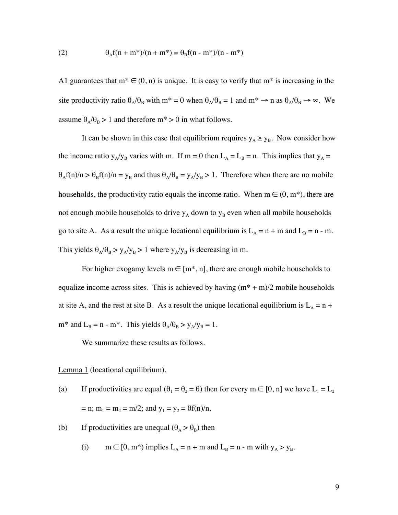(2) 
$$
\theta_A f(n + m^*)/(n + m^*) = \theta_B f(n - m^*)/(n - m^*)
$$

A1 guarantees that  $m^* \in (0, n)$  is unique. It is easy to verify that  $m^*$  is increasing in the site productivity ratio  $\theta_A/\theta_B$  with  $m^* = 0$  when  $\theta_A/\theta_B = 1$  and  $m^* \to n$  as  $\theta_A/\theta_B \to \infty$ . We assume  $\theta_A/\theta_B > 1$  and therefore m<sup>\*</sup> > 0 in what follows.

It can be shown in this case that equilibrium requires  $y_A \ge y_B$ . Now consider how the income ratio  $y_A/y_B$  varies with m. If m = 0 then  $L_A = L_B = n$ . This implies that  $y_A =$  $\theta_A f(n)/n > \theta_B f(n)/n = y_B$  and thus  $\theta_A/\theta_B = y_A/y_B > 1$ . Therefore when there are no mobile households, the productivity ratio equals the income ratio. When  $m \in (0, m^*)$ , there are not enough mobile households to drive  $y_A$  down to  $y_B$  even when all mobile households go to site A. As a result the unique locational equilibrium is  $L_A = n + m$  and  $L_B = n - m$ . This yields  $\theta_A/\theta_B > y_A/y_B > 1$  where  $y_A/y_B$  is decreasing in m.

For higher exogamy levels  $m \in [m^*, n]$ , there are enough mobile households to equalize income across sites. This is achieved by having  $(m^* + m)/2$  mobile households at site A, and the rest at site B. As a result the unique locational equilibrium is  $L_A = n +$ m\* and  $L_B = n - m^*$ . This yields  $\theta_A/\theta_B > y_A/y_B = 1$ .

We summarize these results as follows.

Lemma 1 (locational equilibrium).

- (a) If productivities are equal  $(\theta_1 = \theta_2 = \theta)$  then for every  $m \in [0, n]$  we have  $L_1 = L_2$ = n;  $m_1 = m_2 = m/2$ ; and  $y_1 = y_2 = \theta f(n)/n$ .
- (b) If productivities are unequal  $(\theta_A > \theta_B)$  then
	- (i)  $m \in [0, m^*)$  implies  $L_A = n + m$  and  $L_B = n m$  with  $y_A > y_B$ .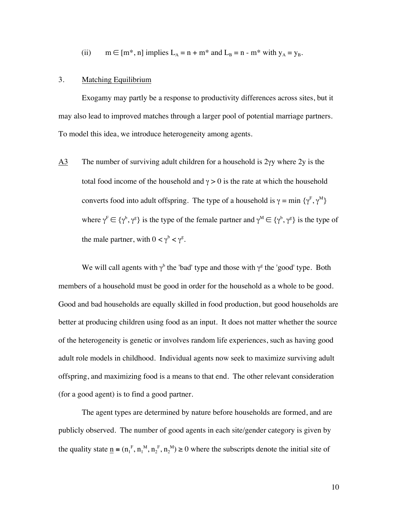(ii) 
$$
m \in [m^*, n]
$$
 implies  $L_A = n + m^*$  and  $L_B = n - m^*$  with  $y_A = y_B$ .

### 3. Matching Equilibrium

Exogamy may partly be a response to productivity differences across sites, but it may also lead to improved matches through a larger pool of potential marriage partners. To model this idea, we introduce heterogeneity among agents.

A3 The number of surviving adult children for a household is 2γy where 2y is the total food income of the household and  $\gamma > 0$  is the rate at which the household converts food into adult offspring. The type of a household is  $\gamma = \min \{ \gamma^F, \gamma^M \}$ where  $\gamma^F \in {\gamma^b, \gamma^g}$  is the type of the female partner and  $\gamma^M \in {\gamma^b, \gamma^g}$  is the type of the male partner, with  $0 < \gamma^b < \gamma^g$ .

We will call agents with  $\gamma^b$  the 'bad' type and those with  $\gamma^g$  the 'good' type. Both members of a household must be good in order for the household as a whole to be good. Good and bad households are equally skilled in food production, but good households are better at producing children using food as an input. It does not matter whether the source of the heterogeneity is genetic or involves random life experiences, such as having good adult role models in childhood. Individual agents now seek to maximize surviving adult offspring, and maximizing food is a means to that end. The other relevant consideration (for a good agent) is to find a good partner.

The agent types are determined by nature before households are formed, and are publicly observed. The number of good agents in each site/gender category is given by the quality state  $\underline{n} = (n_1^F, n_1^M, n_2^F, n_2^M) \ge 0$  where the subscripts denote the initial site of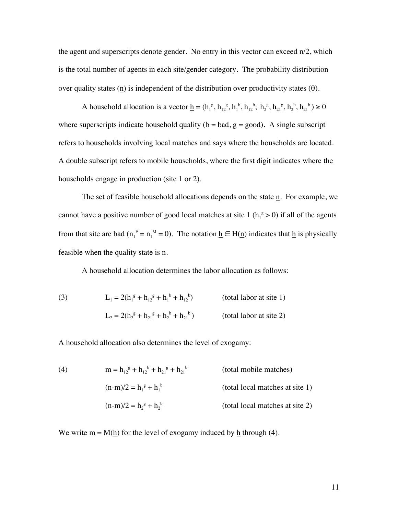the agent and superscripts denote gender. No entry in this vector can exceed n/2, which is the total number of agents in each site/gender category. The probability distribution over quality states  $(n)$  is independent of the distribution over productivity states  $(θ)$ .

A household allocation is a vector  $\underline{h} = (h_1^g, h_1^g, h_1^g, h_1^h, h_1^h, h_2^g, h_2^g, h_2^g, h_2^h) \ge 0$ where superscripts indicate household quality ( $b = bad$ ,  $g = good$ ). A single subscript refers to households involving local matches and says where the households are located. A double subscript refers to mobile households, where the first digit indicates where the households engage in production (site 1 or 2).

The set of feasible household allocations depends on the state n. For example, we cannot have a positive number of good local matches at site 1 ( $h_1^g > 0$ ) if all of the agents from that site are bad  $(n_1^F = n_1^M = 0)$ . The notation  $\underline{h} \in H(\underline{n})$  indicates that  $\underline{h}$  is physically feasible when the quality state is  $\underline{n}$ .

A household allocation determines the labor allocation as follows:

(3) 
$$
L_1 = 2(h_1^g + h_{12}^g + h_1^b + h_{12}^b)
$$
 (total labor at site 1)  

$$
L_2 = 2(h_2^g + h_{21}^g + h_2^b + h_{21}^b)
$$
 (total labor at site 2)

A household allocation also determines the level of exogamy:

(4) 
$$
m = h_{12}^g + h_{12}^b + h_{21}^g + h_{21}^b
$$
 (total mobile matches)  
\n
$$
(n-m)/2 = h_1^g + h_1^b
$$
 (total local matches at site 1)  
\n
$$
(n-m)/2 = h_2^g + h_2^b
$$
 (total local matches at site 2)

We write  $m = M(h)$  for the level of exogamy induced by h through (4).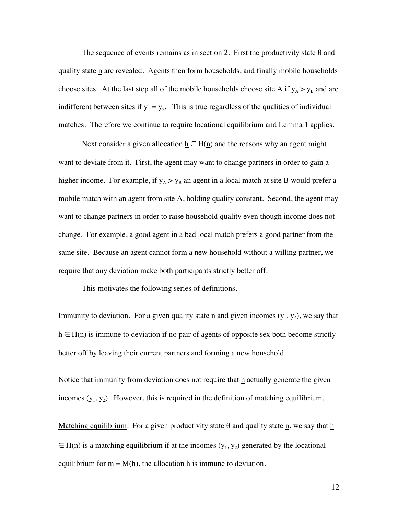The sequence of events remains as in section 2. First the productivity state  $\theta$  and quality state n are revealed. Agents then form households, and finally mobile households choose sites. At the last step all of the mobile households choose site A if  $y_A > y_B$  and are indifferent between sites if  $y_1 = y_2$ . This is true regardless of the qualities of individual matches. Therefore we continue to require locational equilibrium and Lemma 1 applies.

Next consider a given allocation  $h \in H(n)$  and the reasons why an agent might want to deviate from it. First, the agent may want to change partners in order to gain a higher income. For example, if  $y_A > y_B$  an agent in a local match at site B would prefer a mobile match with an agent from site A, holding quality constant. Second, the agent may want to change partners in order to raise household quality even though income does not change. For example, a good agent in a bad local match prefers a good partner from the same site. Because an agent cannot form a new household without a willing partner, we require that any deviation make both participants strictly better off.

This motivates the following series of definitions.

Immunity to deviation. For a given quality state  $\underline{n}$  and given incomes  $(y_1, y_2)$ , we say that  $h \in H(n)$  is immune to deviation if no pair of agents of opposite sex both become strictly better off by leaving their current partners and forming a new household.

Notice that immunity from deviation does not require that h actually generate the given incomes  $(y_1, y_2)$ . However, this is required in the definition of matching equilibrium.

Matching equilibrium. For a given productivity state  $\theta$  and quality state n, we say that h  $\in$  H(<u>n</u>) is a matching equilibrium if at the incomes (y<sub>1</sub>, y<sub>2</sub>) generated by the locational equilibrium for  $m = M(\underline{h})$ , the allocation  $\underline{h}$  is immune to deviation.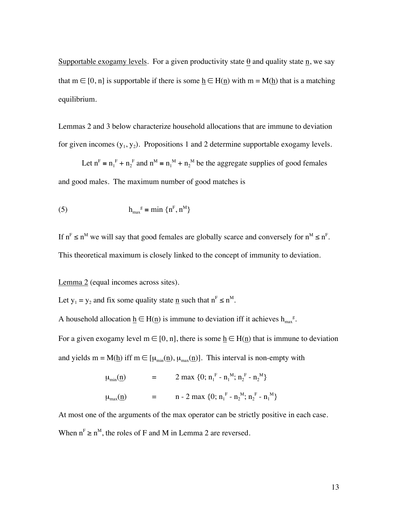Supportable exogamy levels. For a given productivity state  $\theta$  and quality state  $\underline{n}$ , we say that m  $\in$  [0, n] is supportable if there is some  $\underline{h} \in H(\underline{n})$  with m = M( $\underline{h}$ ) that is a matching equilibrium.

Lemmas 2 and 3 below characterize household allocations that are immune to deviation for given incomes  $(y_1, y_2)$ . Propositions 1 and 2 determine supportable exogamy levels.

Let  $n^F = n_1^F + n_2^F$  and  $n^M = n_1^M + n_2^M$  be the aggregate supplies of good females and good males. The maximum number of good matches is

(5) 
$$
h_{\max}^{g} = \min \{n^{F}, n^{M}\}\
$$

If  $n^F \le n^M$  we will say that good females are globally scarce and conversely for  $n^M \le n^F$ . This theoretical maximum is closely linked to the concept of immunity to deviation.

Lemma 2 (equal incomes across sites).

Let  $y_1 = y_2$  and fix some quality state <u>n</u> such that  $n^F \le n^M$ .

A household allocation  $\underline{h} \in H(\underline{n})$  is immune to deviation iff it achieves  $h_{\text{max}}^g$ .

For a given exogamy level  $m \in [0, n]$ , there is some  $h \in H(n)$  that is immune to deviation and yields m =  $M(\underline{h})$  iff m  $\in [\mu_{min}(\underline{n}), \mu_{max}(\underline{n})]$ . This interval is non-empty with

$$
\mu_{min}(\underline{n}) = 2 \max \{0; n_1^F - n_1^M; n_2^F - n_2^M\}
$$
  

$$
\mu_{max}(\underline{n}) = n - 2 \max \{0; n_1^F - n_2^M; n_2^F - n_1^M\}
$$

At most one of the arguments of the max operator can be strictly positive in each case. When  $n^F \ge n^M$ , the roles of F and M in Lemma 2 are reversed.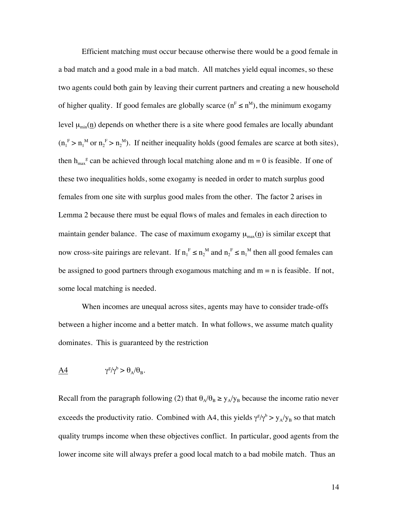Efficient matching must occur because otherwise there would be a good female in a bad match and a good male in a bad match. All matches yield equal incomes, so these two agents could both gain by leaving their current partners and creating a new household of higher quality. If good females are globally scarce  $(n^F \le n^M)$ , the minimum exogamy level  $\mu_{min}(\underline{n})$  depends on whether there is a site where good females are locally abundant  $(n_1^F > n_1^M)$  or  $n_2^F > n_2^M$ ). If neither inequality holds (good females are scarce at both sites), then  $h_{\text{max}}^g$  can be achieved through local matching alone and  $m = 0$  is feasible. If one of these two inequalities holds, some exogamy is needed in order to match surplus good females from one site with surplus good males from the other. The factor 2 arises in Lemma 2 because there must be equal flows of males and females in each direction to maintain gender balance. The case of maximum exogamy  $\mu_{max}(\underline{n})$  is similar except that now cross-site pairings are relevant. If  $n_1^F \le n_2^M$  and  $n_2^F \le n_1^M$  then all good females can be assigned to good partners through exogamous matching and  $m = n$  is feasible. If not, some local matching is needed.

When incomes are unequal across sites, agents may have to consider trade-offs between a higher income and a better match. In what follows, we assume match quality dominates. This is guaranteed by the restriction

$$
\underline{A4} \qquad \qquad \gamma^g/\gamma^b > \theta_A/\theta_B.
$$

Recall from the paragraph following (2) that  $\theta_A/\theta_B \ge y_A/y_B$  because the income ratio never exceeds the productivity ratio. Combined with A4, this yields  $\gamma^{g}/\gamma^{b} > y_{A}/y_{B}$  so that match quality trumps income when these objectives conflict. In particular, good agents from the lower income site will always prefer a good local match to a bad mobile match. Thus an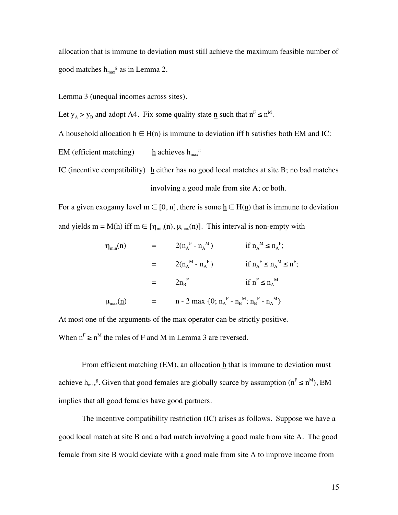allocation that is immune to deviation must still achieve the maximum feasible number of good matches  $h_{\text{max}}^g$  as in Lemma 2.

Lemma 3 (unequal incomes across sites).

Let  $y_A > y_B$  and adopt A4. Fix some quality state  $\underline{n}$  such that  $n^F \le n^M$ .

A household allocation  $h \in H(n)$  is immune to deviation iff h satisfies both EM and IC:

 $EM$  (efficient matching)  $h$  achieves  $h_{\text{max}}^g$ 

IC (incentive compatibility)  $h$  either has no good local matches at site B; no bad matches involving a good male from site A; or both.

For a given exogamy level  $m \in [0, n]$ , there is some  $h \in H(n)$  that is immune to deviation and yields m = M(h) iff m  $\in$  [ $\eta_{min}(n)$ ,  $\mu_{max}(n)$ ]. This interval is non-empty with

$$
\begin{array}{lll}\n\eta_{\min}(\underline{n}) & = & 2(n_A{}^F - n_A{}^M) & \text{if } n_A{}^M \le n_A{}^F; \\
& = & 2(n_A{}^M - n_A{}^F) & \text{if } n_A{}^F \le n_A{}^M \le n^F; \\
& = & 2n_B{}^F & \text{if } n^F \le n_A{}^M \\
\mu_{\max}(\underline{n}) & = & n - 2 \max \{0; n_A{}^F - n_B{}^M; n_B{}^F - n_A{}^M\}\n\end{array}
$$

At most one of the arguments of the max operator can be strictly positive. When  $n<sup>F</sup> \ge n<sup>M</sup>$  the roles of F and M in Lemma 3 are reversed.

From efficient matching (EM), an allocation  $\underline{h}$  that is immune to deviation must achieve h<sub>max</sub><sup>g</sup>. Given that good females are globally scarce by assumption ( $n^F \le n^M$ ), EM implies that all good females have good partners.

The incentive compatibility restriction (IC) arises as follows. Suppose we have a good local match at site B and a bad match involving a good male from site A. The good female from site B would deviate with a good male from site A to improve income from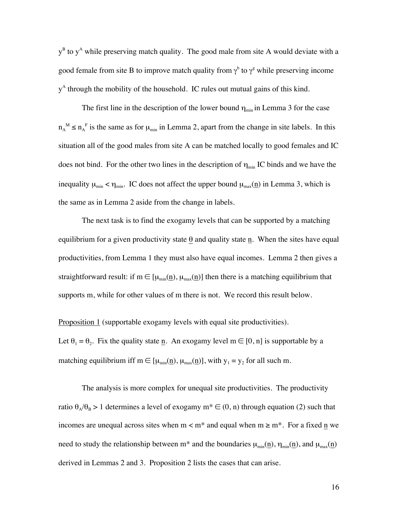$y^B$  to  $y^A$  while preserving match quality. The good male from site A would deviate with a good female from site B to improve match quality from  $\gamma^b$  to  $\gamma^g$  while preserving income y<sup>A</sup> through the mobility of the household. IC rules out mutual gains of this kind.

The first line in the description of the lower bound  $\eta_{\text{min}}$  in Lemma 3 for the case  $n_A^M \le n_A^F$  is the same as for  $\mu_{min}$  in Lemma 2, apart from the change in site labels. In this situation all of the good males from site A can be matched locally to good females and IC does not bind. For the other two lines in the description of  $\eta_{\min}$  IC binds and we have the inequality  $\mu_{\min} < \eta_{\min}$ . IC does not affect the upper bound  $\mu_{\max}(\underline{n})$  in Lemma 3, which is the same as in Lemma 2 aside from the change in labels.

The next task is to find the exogamy levels that can be supported by a matching equilibrium for a given productivity state  $\theta$  and quality state n. When the sites have equal productivities, from Lemma 1 they must also have equal incomes. Lemma 2 then gives a straightforward result: if m  $\in$  [ $\mu_{min}(\underline{n}), \mu_{max}(\underline{n})$ ] then there is a matching equilibrium that supports m, while for other values of m there is not. We record this result below.

Proposition 1 (supportable exogamy levels with equal site productivities).

Let  $\theta_1 = \theta_2$ . Fix the quality state n. An exogamy level m  $\in [0, n]$  is supportable by a matching equilibrium iff m  $\in$  [ $\mu_{min}(\underline{n})$ ,  $\mu_{max}(\underline{n})$ ], with  $y_1 = y_2$  for all such m.

The analysis is more complex for unequal site productivities. The productivity ratio  $\theta_A/\theta_B > 1$  determines a level of exogamy  $m^* \in (0, n)$  through equation (2) such that incomes are unequal across sites when  $m < m^*$  and equal when  $m \ge m^*$ . For a fixed n we need to study the relationship between m<sup>\*</sup> and the boundaries  $\mu_{min}(\underline{n})$ ,  $\eta_{min}(\underline{n})$ , and  $\mu_{max}(\underline{n})$ derived in Lemmas 2 and 3. Proposition 2 lists the cases that can arise.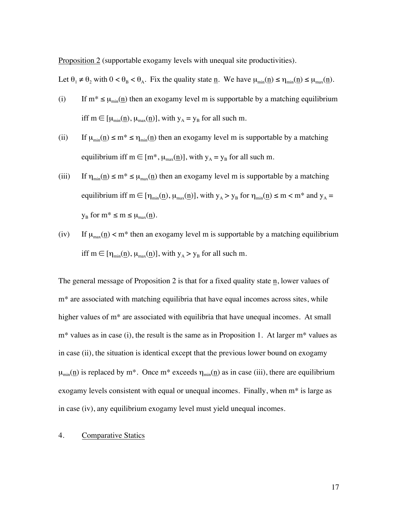Proposition 2 (supportable exogamy levels with unequal site productivities).

Let  $\theta_1 \neq \theta_2$  with  $0 < \theta_B < \theta_A$ . Fix the quality state n. We have  $\mu_{min}(n) \leq \eta_{min}(n) \leq \mu_{max}(n)$ .

- (i) If  $m^* \le \mu_{min}(\underline{n})$  then an exogamy level m is supportable by a matching equilibrium iff  $m \in [\mu_{min}(\underline{n}), \mu_{max}(\underline{n})]$ , with  $y_A = y_B$  for all such m.
- (ii) If  $\mu_{min}(\underline{n}) \le m^* \le \eta_{min}(\underline{n})$  then an exogamy level m is supportable by a matching equilibrium iff m  $\in$  [m<sup>\*</sup>,  $\mu_{max}(n)$ ], with  $y_A = y_B$  for all such m.
- (iii) If  $\eta_{min}(\underline{n}) \le m^* \le \mu_{max}(\underline{n})$  then an exogamy level m is supportable by a matching equilibrium iff m  $\in$   $[\eta_{min}(\underline{n}), \mu_{max}(\underline{n})]$ , with  $y_A > y_B$  for  $\eta_{min}(\underline{n}) \le m < m^*$  and  $y_A =$  $y_B$  for  $m^* \le m \le \mu_{max}(n)$ .
- (iv) If  $\mu_{max}(n)$  < m<sup>\*</sup> then an exogamy level m is supportable by a matching equilibrium iff m  $\in$  [ $\eta_{min}(\underline{n})$ ,  $\mu_{max}(\underline{n})$ ], with  $y_A > y_B$  for all such m.

The general message of Proposition 2 is that for a fixed quality state n, lower values of m\* are associated with matching equilibria that have equal incomes across sites, while higher values of m<sup>\*</sup> are associated with equilibria that have unequal incomes. At small  $m^*$  values as in case (i), the result is the same as in Proposition 1. At larger  $m^*$  values as in case (ii), the situation is identical except that the previous lower bound on exogamy  $\mu_{min}(\underline{n})$  is replaced by m<sup>\*</sup>. Once m<sup>\*</sup> exceeds  $\eta_{min}(\underline{n})$  as in case (iii), there are equilibrium exogamy levels consistent with equal or unequal incomes. Finally, when m\* is large as in case (iv), any equilibrium exogamy level must yield unequal incomes.

#### 4. Comparative Statics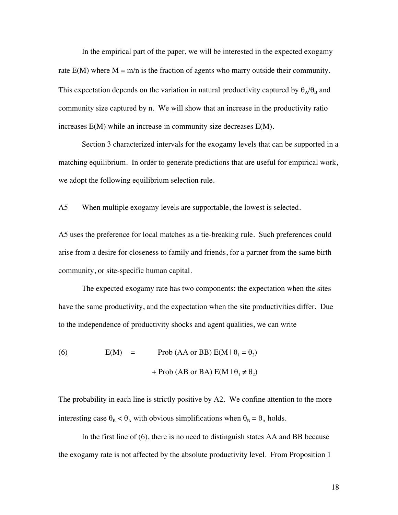In the empirical part of the paper, we will be interested in the expected exogamy rate  $E(M)$  where  $M \equiv m/n$  is the fraction of agents who marry outside their community. This expectation depends on the variation in natural productivity captured by  $\theta_A/\theta_B$  and community size captured by n. We will show that an increase in the productivity ratio increases E(M) while an increase in community size decreases E(M).

Section 3 characterized intervals for the exogamy levels that can be supported in a matching equilibrium. In order to generate predictions that are useful for empirical work, we adopt the following equilibrium selection rule.

A5 When multiple exogamy levels are supportable, the lowest is selected.

A5 uses the preference for local matches as a tie-breaking rule. Such preferences could arise from a desire for closeness to family and friends, for a partner from the same birth community, or site-specific human capital.

The expected exogamy rate has two components: the expectation when the sites have the same productivity, and the expectation when the site productivities differ. Due to the independence of productivity shocks and agent qualities, we can write

(6)  $E(M) = Prob(AA \text{ or } BB) E(M | \theta_1 = \theta_2)$ + Prob (AB or BA)  $E(M | \theta_1 \neq \theta_2)$ 

The probability in each line is strictly positive by A2. We confine attention to the more interesting case  $\theta_B < \theta_A$  with obvious simplifications when  $\theta_B = \theta_A$  holds.

In the first line of (6), there is no need to distinguish states AA and BB because the exogamy rate is not affected by the absolute productivity level. From Proposition 1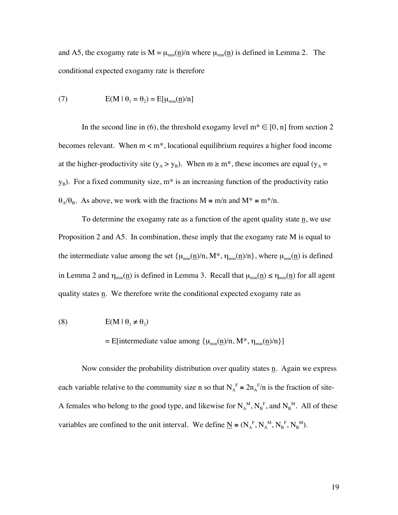and A5, the exogamy rate is  $M = \mu_{min}(\underline{n})/n$  where  $\mu_{min}(\underline{n})$  is defined in Lemma 2. The conditional expected exogamy rate is therefore

(7) 
$$
E(M | \theta_1 = \theta_2) = E[\mu_{min}(\underline{n})/n]
$$

In the second line in (6), the threshold exogamy level  $m^* \in [0, n]$  from section 2 becomes relevant. When  $m < m^*$ , locational equilibrium requires a higher food income at the higher-productivity site ( $y_A > y_B$ ). When  $m \ge m^*$ , these incomes are equal ( $y_A$  =  $y_B$ ). For a fixed community size, m<sup>\*</sup> is an increasing function of the productivity ratio  $\theta_A/\theta_B$ . As above, we work with the fractions M = m/n and M\* = m\*/n.

To determine the exogamy rate as a function of the agent quality state  $\underline{n}$ , we use Proposition 2 and A5. In combination, these imply that the exogamy rate M is equal to the intermediate value among the set  $\{\mu_{min}(\underline{n})/n, M^*, \eta_{min}(\underline{n})/n\}$ , where  $\mu_{min}(\underline{n})$  is defined in Lemma 2 and  $\eta_{min}(\underline{n})$  is defined in Lemma 3. Recall that  $\mu_{min}(\underline{n}) \le \eta_{min}(\underline{n})$  for all agent quality states n. We therefore write the conditional expected exogamy rate as

(8) 
$$
E(M | \theta_1 \neq \theta_2)
$$

#### = E[intermediate value among  $\{\mu_{\min}(\underline{n})/n, M^*, \eta_{\min}(\underline{n})/n\}$ ]

Now consider the probability distribution over quality states  $n$ . Again we express each variable relative to the community size n so that  $N_A^F = 2n_A^F/n$  is the fraction of site-A females who belong to the good type, and likewise for  $N_A^M$ ,  $N_B^F$ , and  $N_B^M$ . All of these variables are confined to the unit interval. We define  $\underline{N} = (N_A^F, N_A^M, N_B^F, N_B^M)$ .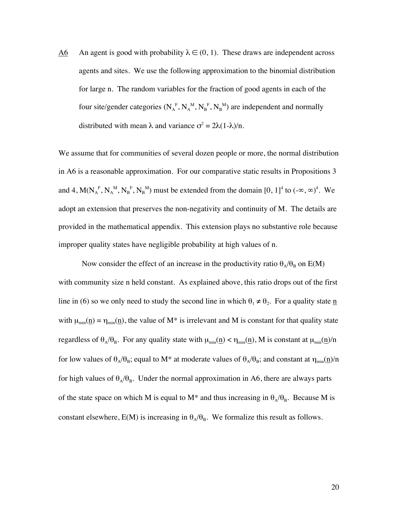A6 An agent is good with probability  $\lambda \in (0, 1)$ . These draws are independent across agents and sites. We use the following approximation to the binomial distribution for large n. The random variables for the fraction of good agents in each of the four site/gender categories ( $N_A^F$ ,  $N_A^M$ ,  $N_B^F$ ,  $N_B^M$ ) are independent and normally distributed with mean  $\lambda$  and variance  $\sigma^2 = 2\lambda(1-\lambda)/n$ .

We assume that for communities of several dozen people or more, the normal distribution in A6 is a reasonable approximation. For our comparative static results in Propositions 3 and 4,  $M(N_A^F, N_A^M, N_B^F, N_B^M)$  must be extended from the domain [0, 1]<sup>4</sup> to  $(-\infty, \infty)^4$ . We adopt an extension that preserves the non-negativity and continuity of M. The details are provided in the mathematical appendix. This extension plays no substantive role because improper quality states have negligible probability at high values of n.

Now consider the effect of an increase in the productivity ratio  $\theta_A/\theta_B$  on E(M) with community size n held constant. As explained above, this ratio drops out of the first line in (6) so we only need to study the second line in which  $\theta_1 \neq \theta_2$ . For a quality state  $\underline{n}$ with  $\mu_{min}(\underline{n}) = \eta_{min}(\underline{n})$ , the value of M<sup>\*</sup> is irrelevant and M is constant for that quality state regardless of  $\theta_A/\theta_B$ . For any quality state with  $\mu_{min}(\underline{n}) < \eta_{min}(\underline{n})$ , M is constant at  $\mu_{min}(\underline{n})/n$ for low values of  $\theta_A/\theta_B$ ; equal to M<sup>\*</sup> at moderate values of  $\theta_A/\theta_B$ ; and constant at  $\eta_{min}(\underline{n})/n$ for high values of  $\theta_A/\theta_B$ . Under the normal approximation in A6, there are always parts of the state space on which M is equal to M\* and thus increasing in  $\theta_A/\theta_B$ . Because M is constant elsewhere,  $E(M)$  is increasing in  $\theta_A/\theta_B$ . We formalize this result as follows.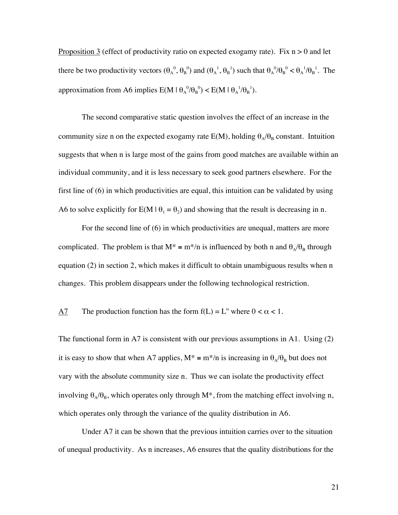Proposition 3 (effect of productivity ratio on expected exogamy rate). Fix  $n > 0$  and let there be two productivity vectors  $(\theta_A^0, \theta_B^0)$  and  $(\theta_A^1, \theta_B^1)$  such that  $\theta_A^0/\theta_B^0 < \theta_A^1/\theta_B^1$ . The approximation from A6 implies  $E(M | \theta_A^0 / \theta_B^0) < E(M | \theta_A^1 / \theta_B^1)$ .

The second comparative static question involves the effect of an increase in the community size n on the expected exogamy rate  $E(M)$ , holding  $\theta_A/\theta_B$  constant. Intuition suggests that when n is large most of the gains from good matches are available within an individual community, and it is less necessary to seek good partners elsewhere. For the first line of (6) in which productivities are equal, this intuition can be validated by using A6 to solve explicitly for  $E(M | \theta_1 = \theta_2)$  and showing that the result is decreasing in n.

For the second line of (6) in which productivities are unequal, matters are more complicated. The problem is that  $M^* = m^*/n$  is influenced by both n and  $\theta_A/\theta_B$  through equation (2) in section 2, which makes it difficult to obtain unambiguous results when n changes. This problem disappears under the following technological restriction.

# A7 The production function has the form  $f(L) = L^{\alpha}$  where  $0 < \alpha < 1$ .

The functional form in A7 is consistent with our previous assumptions in A1. Using (2) it is easy to show that when A7 applies,  $M^* = m^* / n$  is increasing in  $\theta_A / \theta_B$  but does not vary with the absolute community size n. Thus we can isolate the productivity effect involving  $\theta_A/\theta_B$ , which operates only through M<sup>\*</sup>, from the matching effect involving n, which operates only through the variance of the quality distribution in A6.

Under A7 it can be shown that the previous intuition carries over to the situation of unequal productivity. As n increases, A6 ensures that the quality distributions for the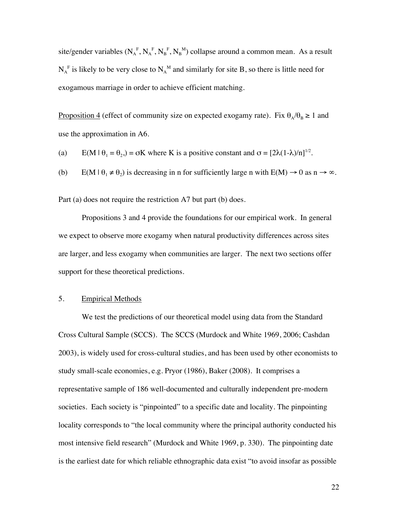site/gender variables  $(N_A^F, N_A^F, N_B^F, N_B^M)$  collapse around a common mean. As a result  $N_A^F$  is likely to be very close to  $N_A^M$  and similarly for site B, so there is little need for exogamous marriage in order to achieve efficient matching.

Proposition 4 (effect of community size on expected exogamy rate). Fix  $\theta_A/\theta_B \ge 1$  and use the approximation in A6.

(a)  $E(M | \theta_1 = \theta_2) = \sigma K$  where K is a positive constant and  $\sigma = [2\lambda(1-\lambda)/n]^{1/2}$ .

(b)  $E(M | \theta_1 \neq \theta_2)$  is decreasing in n for sufficiently large n with  $E(M) \rightarrow 0$  as  $n \rightarrow \infty$ .

Part (a) does not require the restriction A7 but part (b) does.

Propositions 3 and 4 provide the foundations for our empirical work. In general we expect to observe more exogamy when natural productivity differences across sites are larger, and less exogamy when communities are larger. The next two sections offer support for these theoretical predictions.

## 5. Empirical Methods

We test the predictions of our theoretical model using data from the Standard Cross Cultural Sample (SCCS). The SCCS (Murdock and White 1969, 2006; Cashdan 2003), is widely used for cross-cultural studies, and has been used by other economists to study small-scale economies, e.g. Pryor (1986), Baker (2008). It comprises a representative sample of 186 well-documented and culturally independent pre-modern societies. Each society is "pinpointed" to a specific date and locality. The pinpointing locality corresponds to "the local community where the principal authority conducted his most intensive field research" (Murdock and White 1969, p. 330). The pinpointing date is the earliest date for which reliable ethnographic data exist "to avoid insofar as possible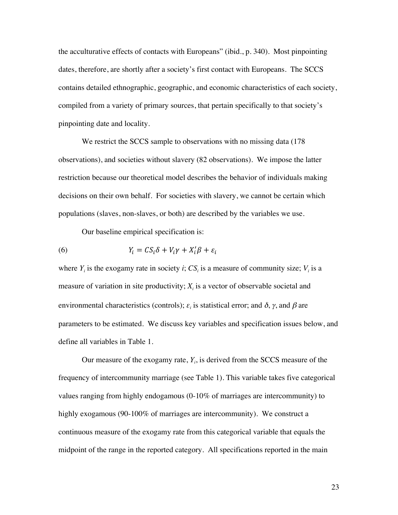the acculturative effects of contacts with Europeans" (ibid., p. 340). Most pinpointing dates, therefore, are shortly after a society's first contact with Europeans. The SCCS contains detailed ethnographic, geographic, and economic characteristics of each society, compiled from a variety of primary sources, that pertain specifically to that society's pinpointing date and locality.

We restrict the SCCS sample to observations with no missing data (178) observations), and societies without slavery (82 observations). We impose the latter restriction because our theoretical model describes the behavior of individuals making decisions on their own behalf. For societies with slavery, we cannot be certain which populations (slaves, non-slaves, or both) are described by the variables we use.

Our baseline empirical specification is:

(6) 
$$
Y_i = CS_i \delta + V_i \gamma + X_i' \beta + \varepsilon_i
$$

where  $Y_i$  is the exogamy rate in society *i*;  $CS_i$  is a measure of community size;  $V_i$  is a measure of variation in site productivity;  $X_i$  is a vector of observable societal and environmental characteristics (controls);  $\varepsilon_i$  is statistical error; and  $\delta$ ,  $\gamma$ , and  $\beta$  are parameters to be estimated. We discuss key variables and specification issues below, and define all variables in Table 1.

Our measure of the exogamy rate,  $Y_i$ , is derived from the SCCS measure of the frequency of intercommunity marriage (see Table 1). This variable takes five categorical values ranging from highly endogamous (0-10% of marriages are intercommunity) to highly exogamous (90-100% of marriages are intercommunity). We construct a continuous measure of the exogamy rate from this categorical variable that equals the midpoint of the range in the reported category. All specifications reported in the main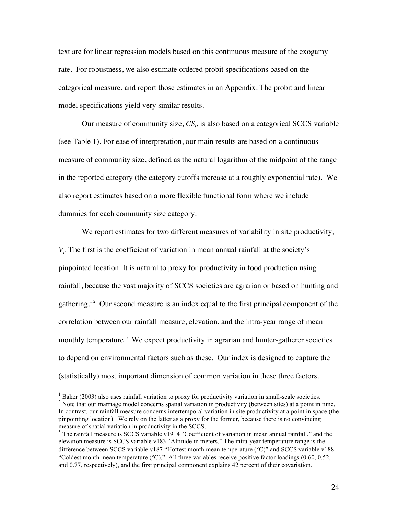text are for linear regression models based on this continuous measure of the exogamy rate. For robustness, we also estimate ordered probit specifications based on the categorical measure, and report those estimates in an Appendix. The probit and linear model specifications yield very similar results.

Our measure of community size,  $CS_i$ , is also based on a categorical SCCS variable (see Table 1). For ease of interpretation, our main results are based on a continuous measure of community size, defined as the natural logarithm of the midpoint of the range in the reported category (the category cutoffs increase at a roughly exponential rate). We also report estimates based on a more flexible functional form where we include dummies for each community size category.

We report estimates for two different measures of variability in site productivity, *V<sub>i</sub>*. The first is the coefficient of variation in mean annual rainfall at the society's pinpointed location. It is natural to proxy for productivity in food production using rainfall, because the vast majority of SCCS societies are agrarian or based on hunting and gathering.<sup>1,2</sup> Our second measure is an index equal to the first principal component of the correlation between our rainfall measure, elevation, and the intra-year range of mean monthly temperature.<sup>3</sup> We expect productivity in agrarian and hunter-gatherer societies to depend on environmental factors such as these. Our index is designed to capture the (statistically) most important dimension of common variation in these three factors.

<sup>&</sup>lt;sup>1</sup> Baker (2003) also uses rainfall variation to proxy for productivity variation in small-scale societies. <sup>2</sup> Note that our marriage model concerns spatial variation in productivity (between sites) at a point in time. In contrast, our rainfall measure concerns intertemporal variation in site productivity at a point in space (the pinpointing location). We rely on the latter as a proxy for the former, because there is no convincing measure of spatial variation in productivity in the SCCS.

 $3$  The rainfall measure is SCCS variable v1914 "Coefficient of variation in mean annual rainfall," and the elevation measure is SCCS variable v183 "Altitude in meters." The intra-year temperature range is the difference between SCCS variable v187 "Hottest month mean temperature (°C)" and SCCS variable v188 "Coldest month mean temperature  $(C)$ ." All three variables receive positive factor loadings (0.60, 0.52, and 0.77, respectively), and the first principal component explains 42 percent of their covariation.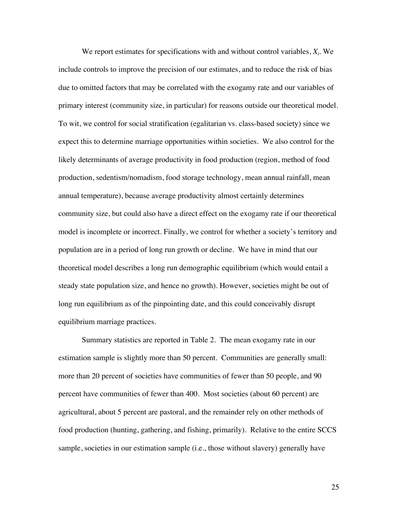We report estimates for specifications with and without control variables,  $X_i$ . We include controls to improve the precision of our estimates, and to reduce the risk of bias due to omitted factors that may be correlated with the exogamy rate and our variables of primary interest (community size, in particular) for reasons outside our theoretical model. To wit, we control for social stratification (egalitarian vs. class-based society) since we expect this to determine marriage opportunities within societies. We also control for the likely determinants of average productivity in food production (region, method of food production, sedentism/nomadism, food storage technology, mean annual rainfall, mean annual temperature), because average productivity almost certainly determines community size, but could also have a direct effect on the exogamy rate if our theoretical model is incomplete or incorrect. Finally, we control for whether a society's territory and population are in a period of long run growth or decline. We have in mind that our theoretical model describes a long run demographic equilibrium (which would entail a steady state population size, and hence no growth). However, societies might be out of long run equilibrium as of the pinpointing date, and this could conceivably disrupt equilibrium marriage practices.

Summary statistics are reported in Table 2. The mean exogamy rate in our estimation sample is slightly more than 50 percent. Communities are generally small: more than 20 percent of societies have communities of fewer than 50 people, and 90 percent have communities of fewer than 400. Most societies (about 60 percent) are agricultural, about 5 percent are pastoral, and the remainder rely on other methods of food production (hunting, gathering, and fishing, primarily). Relative to the entire SCCS sample, societies in our estimation sample (i.e., those without slavery) generally have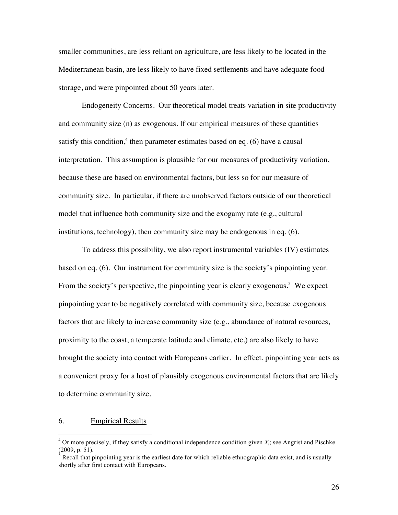smaller communities, are less reliant on agriculture, are less likely to be located in the Mediterranean basin, are less likely to have fixed settlements and have adequate food storage, and were pinpointed about 50 years later.

Endogeneity Concerns. Our theoretical model treats variation in site productivity and community size (n) as exogenous. If our empirical measures of these quantities satisfy this condition,<sup>4</sup> then parameter estimates based on eq. (6) have a causal interpretation. This assumption is plausible for our measures of productivity variation, because these are based on environmental factors, but less so for our measure of community size. In particular, if there are unobserved factors outside of our theoretical model that influence both community size and the exogamy rate (e.g., cultural institutions, technology), then community size may be endogenous in eq. (6).

To address this possibility, we also report instrumental variables (IV) estimates based on eq. (6). Our instrument for community size is the society's pinpointing year. From the society's perspective, the pinpointing year is clearly exogenous.<sup>5</sup> We expect pinpointing year to be negatively correlated with community size, because exogenous factors that are likely to increase community size (e.g., abundance of natural resources, proximity to the coast, a temperate latitude and climate, etc.) are also likely to have brought the society into contact with Europeans earlier. In effect, pinpointing year acts as a convenient proxy for a host of plausibly exogenous environmental factors that are likely to determine community size.

#### 6. Empirical Results

 $4$  Or more precisely, if they satisfy a conditional independence condition given  $X_i$ ; see Angrist and Pischke (2009, p. 51).

 $<sup>5</sup>$  Recall that pinpointing year is the earliest date for which reliable ethnographic data exist, and is usually</sup> shortly after first contact with Europeans.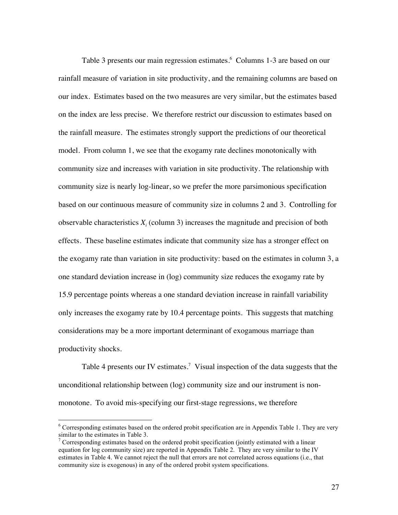Table 3 presents our main regression estimates.<sup>6</sup> Columns 1-3 are based on our rainfall measure of variation in site productivity, and the remaining columns are based on our index. Estimates based on the two measures are very similar, but the estimates based on the index are less precise. We therefore restrict our discussion to estimates based on the rainfall measure. The estimates strongly support the predictions of our theoretical model. From column 1, we see that the exogamy rate declines monotonically with community size and increases with variation in site productivity. The relationship with community size is nearly log-linear, so we prefer the more parsimonious specification based on our continuous measure of community size in columns 2 and 3. Controlling for observable characteristics  $X_i$  (column 3) increases the magnitude and precision of both effects. These baseline estimates indicate that community size has a stronger effect on the exogamy rate than variation in site productivity: based on the estimates in column 3, a one standard deviation increase in (log) community size reduces the exogamy rate by 15.9 percentage points whereas a one standard deviation increase in rainfall variability only increases the exogamy rate by 10.4 percentage points. This suggests that matching considerations may be a more important determinant of exogamous marriage than productivity shocks.

Table 4 presents our IV estimates.<sup>7</sup> Visual inspection of the data suggests that the unconditional relationship between (log) community size and our instrument is nonmonotone. To avoid mis-specifying our first-stage regressions, we therefore

<sup>&</sup>lt;sup>6</sup> Corresponding estimates based on the ordered probit specification are in Appendix Table 1. They are very similar to the estimates in Table 3.

<sup>&</sup>lt;sup>7</sup> Corresponding estimates based on the ordered probit specification (jointly estimated with a linear equation for log community size) are reported in Appendix Table 2. They are very similar to the IV estimates in Table 4. We cannot reject the null that errors are not correlated across equations (i.e., that community size is exogenous) in any of the ordered probit system specifications.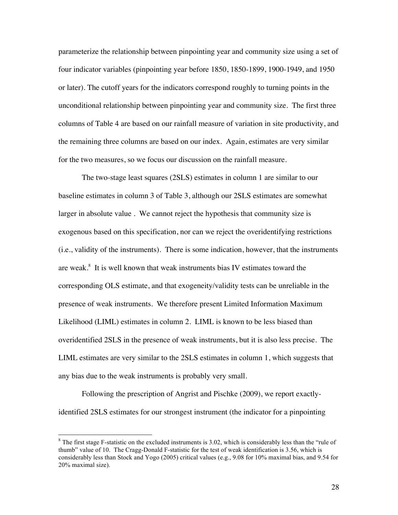parameterize the relationship between pinpointing year and community size using a set of four indicator variables (pinpointing year before 1850, 1850-1899, 1900-1949, and 1950 or later). The cutoff years for the indicators correspond roughly to turning points in the unconditional relationship between pinpointing year and community size. The first three columns of Table 4 are based on our rainfall measure of variation in site productivity, and the remaining three columns are based on our index. Again, estimates are very similar for the two measures, so we focus our discussion on the rainfall measure.

The two-stage least squares (2SLS) estimates in column 1 are similar to our baseline estimates in column 3 of Table 3, although our 2SLS estimates are somewhat larger in absolute value . We cannot reject the hypothesis that community size is exogenous based on this specification, nor can we reject the overidentifying restrictions (i.e., validity of the instruments). There is some indication, however, that the instruments are weak.<sup>8</sup> It is well known that weak instruments bias IV estimates toward the corresponding OLS estimate, and that exogeneity/validity tests can be unreliable in the presence of weak instruments. We therefore present Limited Information Maximum Likelihood (LIML) estimates in column 2. LIML is known to be less biased than overidentified 2SLS in the presence of weak instruments, but it is also less precise. The LIML estimates are very similar to the 2SLS estimates in column 1, which suggests that any bias due to the weak instruments is probably very small.

Following the prescription of Angrist and Pischke (2009), we report exactlyidentified 2SLS estimates for our strongest instrument (the indicator for a pinpointing

<sup>&</sup>lt;sup>8</sup> The first stage F-statistic on the excluded instruments is 3.02, which is considerably less than the "rule of thumb" value of 10. The Cragg-Donald F-statistic for the test of weak identification is 3.56, which is considerably less than Stock and Yogo (2005) critical values (e.g., 9.08 for 10% maximal bias, and 9.54 for 20% maximal size).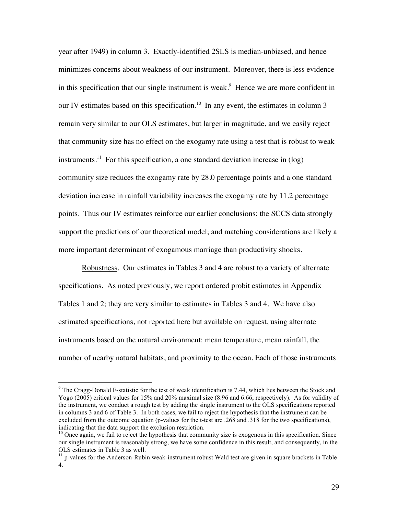year after 1949) in column 3. Exactly-identified 2SLS is median-unbiased, and hence minimizes concerns about weakness of our instrument. Moreover, there is less evidence in this specification that our single instrument is weak.<sup>9</sup> Hence we are more confident in our IV estimates based on this specification.<sup>10</sup> In any event, the estimates in column 3 remain very similar to our OLS estimates, but larger in magnitude, and we easily reject that community size has no effect on the exogamy rate using a test that is robust to weak instruments.<sup>11</sup> For this specification, a one standard deviation increase in  $(\log)$ community size reduces the exogamy rate by 28.0 percentage points and a one standard deviation increase in rainfall variability increases the exogamy rate by 11.2 percentage points. Thus our IV estimates reinforce our earlier conclusions: the SCCS data strongly support the predictions of our theoretical model; and matching considerations are likely a more important determinant of exogamous marriage than productivity shocks.

Robustness. Our estimates in Tables 3 and 4 are robust to a variety of alternate specifications. As noted previously, we report ordered probit estimates in Appendix Tables 1 and 2; they are very similar to estimates in Tables 3 and 4. We have also estimated specifications, not reported here but available on request, using alternate instruments based on the natural environment: mean temperature, mean rainfall, the number of nearby natural habitats, and proximity to the ocean. Each of those instruments

<sup>&</sup>lt;sup>9</sup> The Cragg-Donald F-statistic for the test of weak identification is 7.44, which lies between the Stock and Yogo (2005) critical values for 15% and 20% maximal size (8.96 and 6.66, respectively). As for validity of the instrument, we conduct a rough test by adding the single instrument to the OLS specifications reported in columns 3 and 6 of Table 3. In both cases, we fail to reject the hypothesis that the instrument can be excluded from the outcome equation (p-values for the t-test are .268 and .318 for the two specifications), indicating that the data support the exclusion restriction.

<sup>&</sup>lt;sup>10</sup> Once again, we fail to reject the hypothesis that community size is exogenous in this specification. Since our single instrument is reasonably strong, we have some confidence in this result, and consequently, in the OLS estimates in Table 3 as well.

 $11$  p-values for the Anderson-Rubin weak-instrument robust Wald test are given in square brackets in Table 4.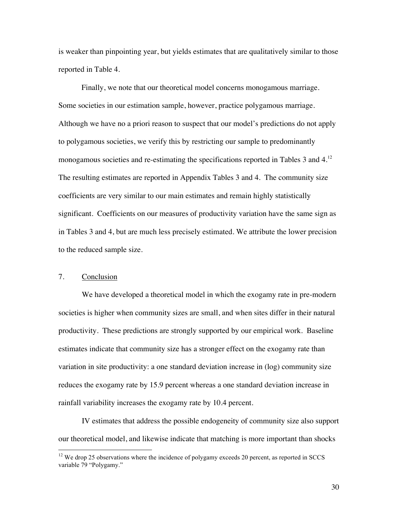is weaker than pinpointing year, but yields estimates that are qualitatively similar to those reported in Table 4.

Finally, we note that our theoretical model concerns monogamous marriage. Some societies in our estimation sample, however, practice polygamous marriage. Although we have no a priori reason to suspect that our model's predictions do not apply to polygamous societies, we verify this by restricting our sample to predominantly monogamous societies and re-estimating the specifications reported in Tables 3 and 4.<sup>12</sup> The resulting estimates are reported in Appendix Tables 3 and 4. The community size coefficients are very similar to our main estimates and remain highly statistically significant. Coefficients on our measures of productivity variation have the same sign as in Tables 3 and 4, but are much less precisely estimated. We attribute the lower precision to the reduced sample size.

# 7. Conclusion

We have developed a theoretical model in which the exogamy rate in pre-modern societies is higher when community sizes are small, and when sites differ in their natural productivity. These predictions are strongly supported by our empirical work. Baseline estimates indicate that community size has a stronger effect on the exogamy rate than variation in site productivity: a one standard deviation increase in (log) community size reduces the exogamy rate by 15.9 percent whereas a one standard deviation increase in rainfall variability increases the exogamy rate by 10.4 percent.

IV estimates that address the possible endogeneity of community size also support our theoretical model, and likewise indicate that matching is more important than shocks

<sup>&</sup>lt;sup>12</sup> We drop 25 observations where the incidence of polygamy exceeds 20 percent, as reported in SCCS variable 79 "Polygamy."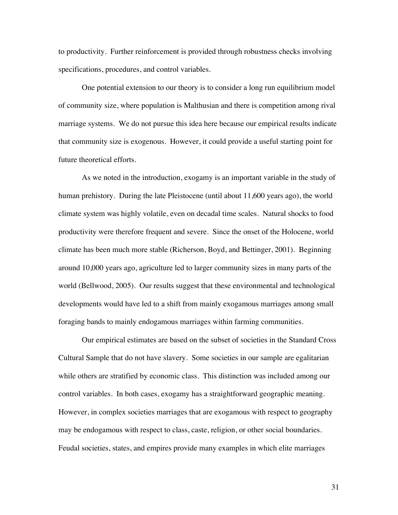to productivity. Further reinforcement is provided through robustness checks involving specifications, procedures, and control variables.

One potential extension to our theory is to consider a long run equilibrium model of community size, where population is Malthusian and there is competition among rival marriage systems. We do not pursue this idea here because our empirical results indicate that community size is exogenous. However, it could provide a useful starting point for future theoretical efforts.

As we noted in the introduction, exogamy is an important variable in the study of human prehistory. During the late Pleistocene (until about 11,600 years ago), the world climate system was highly volatile, even on decadal time scales. Natural shocks to food productivity were therefore frequent and severe. Since the onset of the Holocene, world climate has been much more stable (Richerson, Boyd, and Bettinger, 2001). Beginning around 10,000 years ago, agriculture led to larger community sizes in many parts of the world (Bellwood, 2005). Our results suggest that these environmental and technological developments would have led to a shift from mainly exogamous marriages among small foraging bands to mainly endogamous marriages within farming communities.

Our empirical estimates are based on the subset of societies in the Standard Cross Cultural Sample that do not have slavery. Some societies in our sample are egalitarian while others are stratified by economic class. This distinction was included among our control variables. In both cases, exogamy has a straightforward geographic meaning. However, in complex societies marriages that are exogamous with respect to geography may be endogamous with respect to class, caste, religion, or other social boundaries. Feudal societies, states, and empires provide many examples in which elite marriages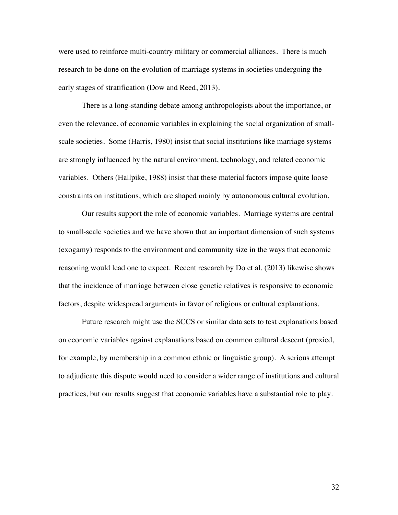were used to reinforce multi-country military or commercial alliances. There is much research to be done on the evolution of marriage systems in societies undergoing the early stages of stratification (Dow and Reed, 2013).

There is a long-standing debate among anthropologists about the importance, or even the relevance, of economic variables in explaining the social organization of smallscale societies. Some (Harris, 1980) insist that social institutions like marriage systems are strongly influenced by the natural environment, technology, and related economic variables. Others (Hallpike, 1988) insist that these material factors impose quite loose constraints on institutions, which are shaped mainly by autonomous cultural evolution.

Our results support the role of economic variables. Marriage systems are central to small-scale societies and we have shown that an important dimension of such systems (exogamy) responds to the environment and community size in the ways that economic reasoning would lead one to expect. Recent research by Do et al. (2013) likewise shows that the incidence of marriage between close genetic relatives is responsive to economic factors, despite widespread arguments in favor of religious or cultural explanations.

Future research might use the SCCS or similar data sets to test explanations based on economic variables against explanations based on common cultural descent (proxied, for example, by membership in a common ethnic or linguistic group). A serious attempt to adjudicate this dispute would need to consider a wider range of institutions and cultural practices, but our results suggest that economic variables have a substantial role to play.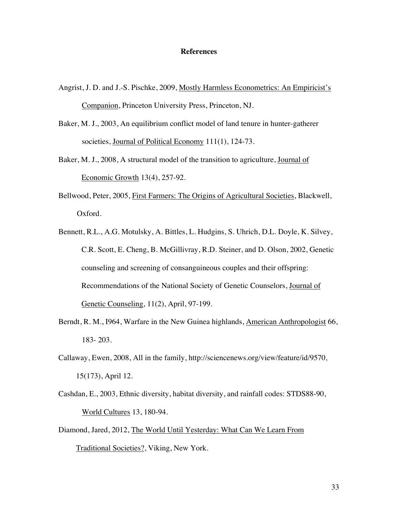#### **References**

- Angrist, J. D. and J.-S. Pischke, 2009, Mostly Harmless Econometrics: An Empiricist's Companion, Princeton University Press, Princeton, NJ.
- Baker, M. J., 2003, An equilibrium conflict model of land tenure in hunter-gatherer societies, Journal of Political Economy 111(1), 124-73.
- Baker, M. J., 2008, A structural model of the transition to agriculture, Journal of Economic Growth 13(4), 257-92.
- Bellwood, Peter, 2005, First Farmers: The Origins of Agricultural Societies, Blackwell, Oxford.
- Bennett, R.L., A.G. Motulsky, A. Bittles, L. Hudgins, S. Uhrich, D.L. Doyle, K. Silvey, C.R. Scott, E. Cheng, B. McGillivray, R.D. Steiner, and D. Olson, 2002, Genetic counseling and screening of consanguineous couples and their offspring: Recommendations of the National Society of Genetic Counselors, Journal of Genetic Counseling, 11(2), April, 97-199.
- Berndt, R. M., I964, Warfare in the New Guinea highlands, American Anthropologist 66, 183- 203.
- Callaway, Ewen, 2008, All in the family, http://sciencenews.org/view/feature/id/9570, 15(173), April 12.
- Cashdan, E., 2003, Ethnic diversity, habitat diversity, and rainfall codes: STDS88-90, World Cultures 13, 180-94.
- Diamond, Jared, 2012, The World Until Yesterday: What Can We Learn From Traditional Societies?, Viking, New York.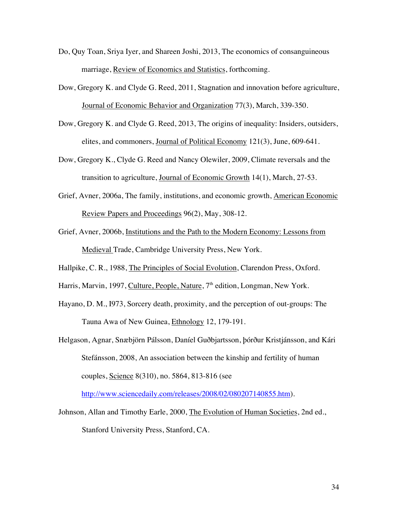- Do, Quy Toan, Sriya Iyer, and Shareen Joshi, 2013, The economics of consanguineous marriage, Review of Economics and Statistics, forthcoming.
- Dow, Gregory K. and Clyde G. Reed, 2011, Stagnation and innovation before agriculture, Journal of Economic Behavior and Organization 77(3), March, 339-350.
- Dow, Gregory K. and Clyde G. Reed, 2013, The origins of inequality: Insiders, outsiders, elites, and commoners, Journal of Political Economy 121(3), June, 609-641.
- Dow, Gregory K., Clyde G. Reed and Nancy Olewiler, 2009, Climate reversals and the transition to agriculture, Journal of Economic Growth 14(1), March, 27-53.
- Grief, Avner, 2006a, The family, institutions, and economic growth, American Economic Review Papers and Proceedings 96(2), May, 308-12.
- Grief, Avner, 2006b, Institutions and the Path to the Modern Economy: Lessons from Medieval Trade, Cambridge University Press, New York.
- Hallpike, C. R., 1988, The Principles of Social Evolution, Clarendon Press, Oxford.
- Harris, Marvin, 1997, Culture, People, Nature, 7<sup>th</sup> edition, Longman, New York.
- Hayano, D. M., I973, Sorcery death, proximity, and the perception of out-groups: The Tauna Awa of New Guinea, Ethnology 12, 179-191.
- Helgason, Agnar, Snæbjörn Pálsson, Daníel Guðbjartsson, þórður Kristjánsson, and Kári Stefánsson, 2008, An association between the kinship and fertility of human couples, Science 8(310), no. 5864, 813-816 (see

http://www.sciencedaily.com/releases/2008/02/080207140855.htm).

Johnson, Allan and Timothy Earle, 2000, The Evolution of Human Societies, 2nd ed., Stanford University Press, Stanford, CA.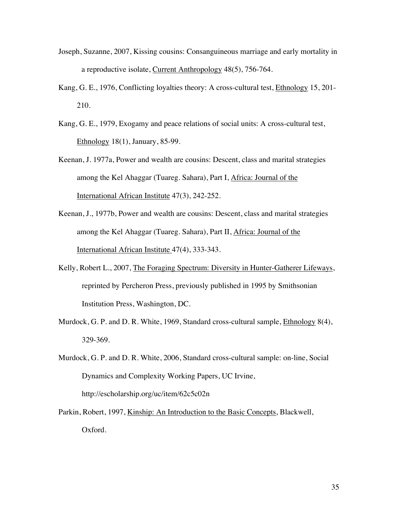- Joseph, Suzanne, 2007, Kissing cousins: Consanguineous marriage and early mortality in a reproductive isolate, Current Anthropology 48(5), 756-764.
- Kang, G. E., 1976, Conflicting loyalties theory: A cross-cultural test, Ethnology 15, 201- 210.
- Kang, G. E., 1979, Exogamy and peace relations of social units: A cross-cultural test, Ethnology 18(1), January, 85-99.
- Keenan, J. 1977a, Power and wealth are cousins: Descent, class and marital strategies among the Kel Ahaggar (Tuareg. Sahara), Part I, Africa: Journal of the International African Institute 47(3), 242-252.
- Keenan, J., 1977b, Power and wealth are cousins: Descent, class and marital strategies among the Kel Ahaggar (Tuareg. Sahara), Part II, Africa: Journal of the International African Institute 47(4), 333-343.
- Kelly, Robert L., 2007, The Foraging Spectrum: Diversity in Hunter-Gatherer Lifeways, reprinted by Percheron Press, previously published in 1995 by Smithsonian Institution Press, Washington, DC.
- Murdock, G. P. and D. R. White, 1969, Standard cross-cultural sample, Ethnology 8(4), 329-369.
- Murdock, G. P. and D. R. White, 2006, Standard cross-cultural sample: on-line, Social Dynamics and Complexity Working Papers, UC Irvine, http://escholarship.org/uc/item/62c5c02n
- Parkin, Robert, 1997, Kinship: An Introduction to the Basic Concepts, Blackwell, Oxford.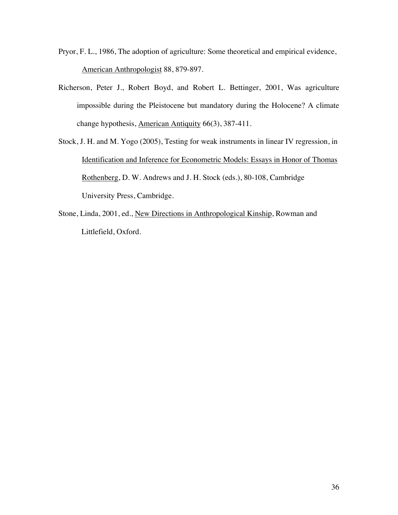- Pryor, F. L., 1986, The adoption of agriculture: Some theoretical and empirical evidence, American Anthropologist 88, 879-897.
- Richerson, Peter J., Robert Boyd, and Robert L. Bettinger, 2001, Was agriculture impossible during the Pleistocene but mandatory during the Holocene? A climate change hypothesis, American Antiquity 66(3), 387-411.
- Stock, J. H. and M. Yogo (2005), Testing for weak instruments in linear IV regression, in Identification and Inference for Econometric Models: Essays in Honor of Thomas Rothenberg, D. W. Andrews and J. H. Stock (eds.), 80-108, Cambridge University Press, Cambridge.
- Stone, Linda, 2001, ed., New Directions in Anthropological Kinship, Rowman and Littlefield, Oxford.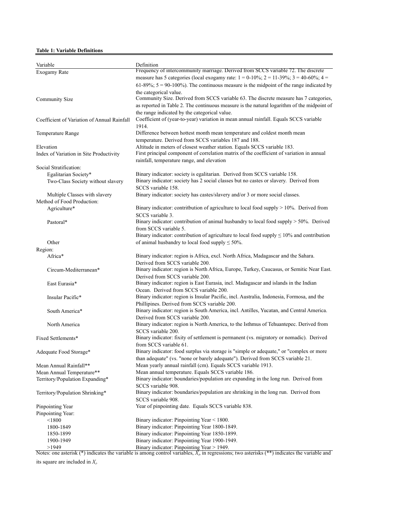#### **Table 1: Variable Definitions**

| Variable                                    | Definition                                                                                                                               |
|---------------------------------------------|------------------------------------------------------------------------------------------------------------------------------------------|
| Exogamy Rate                                | Frequency of intercommunity marriage. Derived from SCCS variable 72. The discrete                                                        |
|                                             | measure has 5 categories (local exogamy rate: $1 = 0.10\%$ ; $2 = 11.39\%$ ; $3 = 40.60\%$ ; $4 =$                                       |
|                                             | 61-89%; $5 = 90-100\%$ ). The continuous measure is the midpoint of the range indicated by                                               |
|                                             | the categorical value.<br>Community Size. Derived from SCCS variable 63. The discrete measure has 7 categories,                          |
| <b>Community Size</b>                       | as reported in Table 2. The continuous measure is the natural logarithm of the midpoint of                                               |
|                                             | the range indicated by the categorical value.                                                                                            |
| Coefficient of Variation of Annual Rainfall | Coefficient of (year-to-year) variation in mean annual rainfall. Equals SCCS variable                                                    |
|                                             | 1914.                                                                                                                                    |
| <b>Temperature Range</b>                    | Difference between hottest month mean temperature and coldest month mean                                                                 |
|                                             | temperature. Derived from SCCS variables 187 and 188.                                                                                    |
| Elevation                                   | Altitude in meters of closest weather station. Equals SCCS variable 183.                                                                 |
| Index of Variation in Site Productivity     | First principal component of correlation matrix of the coefficient of variation in annual                                                |
|                                             | rainfall, temperature range, and elevation                                                                                               |
| Social Stratification:                      |                                                                                                                                          |
| Egalitarian Society*                        | Binary indicator: society is egalitarian. Derived from SCCS variable 158.                                                                |
| Two-Class Society without slavery           | Binary indicator: society has 2 social classes but no castes or slavery. Derived from                                                    |
|                                             | SCCS variable 158.                                                                                                                       |
| Multiple Classes with slavery               | Binary indicator: society has castes/slavery and/or 3 or more social classes.                                                            |
| Method of Food Production:                  | Binary indicator: contribution of agriculture to local food supply $> 10\%$ . Derived from                                               |
| Agriculture*                                | SCCS variable 3.                                                                                                                         |
| Pastoral*                                   | Binary indicator: contribution of animal husbandry to local food supply > 50%. Derived                                                   |
|                                             | from SCCS variable 5.                                                                                                                    |
|                                             | Binary indicator: contribution of agriculture to local food supply $\leq 10\%$ and contribution                                          |
| Other                                       | of animal husbandry to local food supply $\leq 50\%$ .                                                                                   |
| Region:                                     |                                                                                                                                          |
| Africa*                                     | Binary indicator: region is Africa, excl. North Africa, Madagascar and the Sahara.                                                       |
|                                             | Derived from SCCS variable 200.                                                                                                          |
| Circum-Mediterranean*                       | Binary indicator: region is North Africa, Europe, Turkey, Caucasus, or Semitic Near East.                                                |
|                                             | Derived from SCCS variable 200.                                                                                                          |
| East Eurasia*                               | Binary indicator: region is East Eurasia, incl. Madagascar and islands in the Indian                                                     |
|                                             | Ocean. Derived from SCCS variable 200.                                                                                                   |
| Insular Pacific*                            | Binary indicator: region is Insular Pacific, incl. Australia, Indonesia, Formosa, and the                                                |
| South America*                              | Phillipines. Derived from SCCS variable 200.<br>Binary indicator: region is South America, incl. Antilles, Yucatan, and Central America. |
|                                             | Derived from SCCS variable 200.                                                                                                          |
| North America                               | Binary indicator: region is North America, to the Isthmus of Tehuantepec. Derived from                                                   |
|                                             | SCCS variable 200.                                                                                                                       |
| Fixed Settlements*                          | Binary indicator: fixity of settlement is permanent (vs. migratory or nomadic). Derived                                                  |
|                                             | from SCCS variable 61.                                                                                                                   |
| Adequate Food Storage*                      | Binary indicator: food surplus via storage is "simple or adequate," or "complex or more                                                  |
|                                             | than adequate" (vs. "none or barely adequate"). Derived from SCCS variable 21.                                                           |
| Mean Annual Rainfall**                      | Mean yearly annual rainfall (cm). Equals SCCS variable 1913.                                                                             |
| Mean Annual Temperature**                   | Mean annual temperature. Equals SCCS variable 186.                                                                                       |
| Territory/Population Expanding*             | Binary indicator: boundaries/population are expanding in the long run. Derived from                                                      |
|                                             | SCCS variable 908.                                                                                                                       |
| Territory/Population Shrinking*             | Binary indicator: boundaries/population are shrinking in the long run. Derived from<br>SCCS variable 908.                                |
| Pinpointing Year                            | Year of pinpointing date. Equals SCCS variable 838.                                                                                      |
| Pinpointing Year:                           |                                                                                                                                          |
| < 1800                                      | Binary indicator: Pinpointing Year < 1800.                                                                                               |
| 1800-1849                                   | Binary indicator: Pinpointing Year 1800-1849.                                                                                            |
| 1850-1899                                   | Binary indicator: Pinpointing Year 1850-1899.                                                                                            |
| 1900-1949                                   | Binary indicator: Pinpointing Year 1900-1949.                                                                                            |
| >1949                                       | Binary indicator: Pinpointing Year > 1949.                                                                                               |

Notes: one asterisk ( $*$ ) indicates the variable is among control variables,  $X<sub>b</sub>$  in regressions; two asterisks ( $**$ ) indicates the variable and its square are included in *Xi* .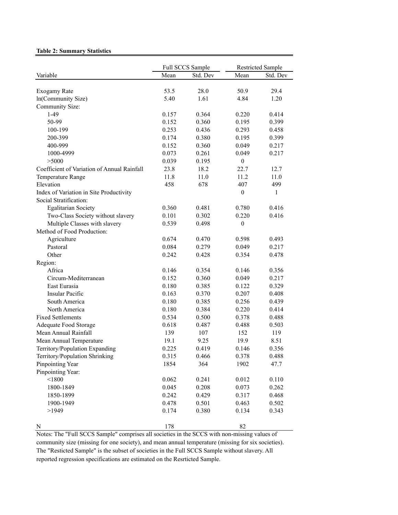#### **Table 2: Summary Statistics**

|                                             | Full SCCS Sample |          |                  | <b>Restricted Sample</b> |  |
|---------------------------------------------|------------------|----------|------------------|--------------------------|--|
| Variable                                    | Mean             | Std. Dev | Mean             | Std. Dev                 |  |
|                                             |                  |          |                  |                          |  |
| Exogamy Rate                                | 53.5             | 28.0     | 50.9             | 29.4                     |  |
| In(Community Size)                          | 5.40             | 1.61     | 4.84             | 1.20                     |  |
| Community Size:                             |                  |          |                  |                          |  |
| $1-49$                                      | 0.157            | 0.364    | 0.220            | 0.414                    |  |
| 50-99                                       | 0.152            | 0.360    | 0.195            | 0.399                    |  |
| 100-199                                     | 0.253            | 0.436    | 0.293            | 0.458                    |  |
| 200-399                                     | 0.174            | 0.380    | 0.195            | 0.399                    |  |
| 400-999                                     | 0.152            | 0.360    | 0.049            | 0.217                    |  |
| 1000-4999                                   | 0.073            | 0.261    | 0.049            | 0.217                    |  |
| >5000                                       | 0.039            | 0.195    | $\theta$         |                          |  |
| Coefficient of Variation of Annual Rainfall | 23.8             | 18.2     | 22.7             | 12.7                     |  |
| Temperature Range                           | 11.8             | 11.0     | 11.2             | 11.0                     |  |
| Elevation                                   | 458              | 678      | 407              | 499                      |  |
| Index of Variation in Site Productivity     |                  |          | $\boldsymbol{0}$ | 1                        |  |
| Social Stratification:                      |                  |          |                  |                          |  |
| <b>Egalitarian Society</b>                  | 0.360            | 0.481    | 0.780            | 0.416                    |  |
| Two-Class Society without slavery           | 0.101            | 0.302    | 0.220            | 0.416                    |  |
| Multiple Classes with slavery               | 0.539            | 0.498    | $\theta$         |                          |  |
| Method of Food Production:                  |                  |          |                  |                          |  |
| Agriculture                                 | 0.674            | 0.470    | 0.598            | 0.493                    |  |
| Pastoral                                    | 0.084            | 0.279    | 0.049            | 0.217                    |  |
| Other                                       | 0.242            | 0.428    | 0.354            | 0.478                    |  |
| Region:                                     |                  |          |                  |                          |  |
| Africa                                      | 0.146            | 0.354    | 0.146            | 0.356                    |  |
| Circum-Mediterranean                        | 0.152            | 0.360    | 0.049            | 0.217                    |  |
| East Eurasia                                | 0.180            | 0.385    | 0.122            | 0.329                    |  |
| <b>Insular Pacific</b>                      | 0.163            | 0.370    | 0.207            | 0.408                    |  |
| South America                               | 0.180            | 0.385    | 0.256            | 0.439                    |  |
| North America                               | 0.180            | 0.384    | 0.220            | 0.414                    |  |
| <b>Fixed Settlements</b>                    | 0.534            | 0.500    | 0.378            | 0.488                    |  |
| Adequate Food Storage                       | 0.618            | 0.487    | 0.488            | 0.503                    |  |
| Mean Annual Rainfall                        | 139              | 107      | 152              | 119                      |  |
| Mean Annual Temperature                     | 19.1             | 9.25     | 19.9             | 8.51                     |  |
| Territory/Population Expanding              | 0.225            | 0.419    | 0.146            | 0.356                    |  |
| Territory/Population Shrinking              | 0.315            | 0.466    | 0.378            | 0.488                    |  |
| Pinpointing Year                            | 1854             | 364      | 1902             | 47.7                     |  |
| Pinpointing Year:                           |                  |          |                  |                          |  |
| < 1800                                      | 0.062            | 0.241    | 0.012            | 0.110                    |  |
| 1800-1849                                   | 0.045            | 0.208    | 0.073            | 0.262                    |  |
| 1850-1899                                   | 0.242            | 0.429    | 0.317            | 0.468                    |  |
|                                             | 0.478            | 0.501    | 0.463            | 0.502                    |  |
| 1900-1949<br>>1949                          | 0.174            | 0.380    | 0.134            |                          |  |
|                                             |                  |          |                  | 0.343                    |  |
| N                                           | 178              |          | 82               |                          |  |

Notes: The "Full SCCS Sample" comprises all societies in the SCCS with non-missing values of community size (missing for one society), and mean annual temperature (missing for six societies). The "Resticted Sample" is the subset of societies in the Full SCCS Sample without slavery. All reported regression specifications are estimated on the Resrticted Sample.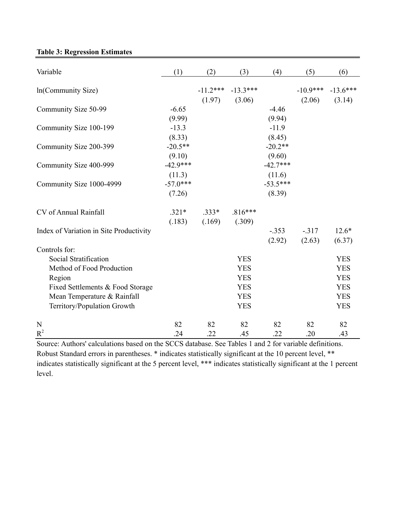# **Table 3: Regression Estimates**

| Variable                                | (1)        | (2)        | (3)        | (4)        | (5)        | (6)        |
|-----------------------------------------|------------|------------|------------|------------|------------|------------|
| In(Community Size)                      |            | $-11.2***$ | $-13.3***$ |            | $-10.9***$ | $-13.6***$ |
|                                         |            | (1.97)     | (3.06)     |            | (2.06)     | (3.14)     |
| Community Size 50-99                    | $-6.65$    |            |            | $-4.46$    |            |            |
|                                         | (9.99)     |            |            | (9.94)     |            |            |
| Community Size 100-199                  | $-13.3$    |            |            | $-11.9$    |            |            |
|                                         | (8.33)     |            |            | (8.45)     |            |            |
| Community Size 200-399                  | $-20.5**$  |            |            | $-20.2**$  |            |            |
|                                         | (9.10)     |            |            | (9.60)     |            |            |
| Community Size 400-999                  | $-42.9***$ |            |            | $-42.7***$ |            |            |
|                                         | (11.3)     |            |            | (11.6)     |            |            |
| Community Size 1000-4999                | $-57.0***$ |            |            | $-53.5***$ |            |            |
|                                         | (7.26)     |            |            | (8.39)     |            |            |
| CV of Annual Rainfall                   | $.321*$    | $.333*$    | $.816***$  |            |            |            |
|                                         | (.183)     | (.169)     | (.309)     |            |            |            |
| Index of Variation in Site Productivity |            |            |            | $-.353$    | $-.317$    | $12.6*$    |
|                                         |            |            |            | (2.92)     | (2.63)     | (6.37)     |
| Controls for:                           |            |            |            |            |            |            |
| Social Stratification                   |            |            | <b>YES</b> |            |            | <b>YES</b> |
| Method of Food Production               |            |            | <b>YES</b> |            |            | <b>YES</b> |
| Region                                  |            |            | <b>YES</b> |            |            | <b>YES</b> |
| Fixed Settlements & Food Storage        |            |            | <b>YES</b> |            |            | <b>YES</b> |
| Mean Temperature & Rainfall             |            |            | <b>YES</b> |            |            | <b>YES</b> |
| Territory/Population Growth             |            |            | <b>YES</b> |            |            | <b>YES</b> |
| N                                       | 82         | 82         | 82         | 82         | 82         | 82         |
| $R^2$                                   | .24        | .22        | .45        | .22        | .20        | .43        |

Source: Authors' calculations based on the SCCS database. See Tables 1 and 2 for variable definitions. Robust Standard errors in parentheses. \* indicates statistically significant at the 10 percent level, \*\* indicates statistically significant at the 5 percent level, \*\*\* indicates statistically significant at the 1 percent level.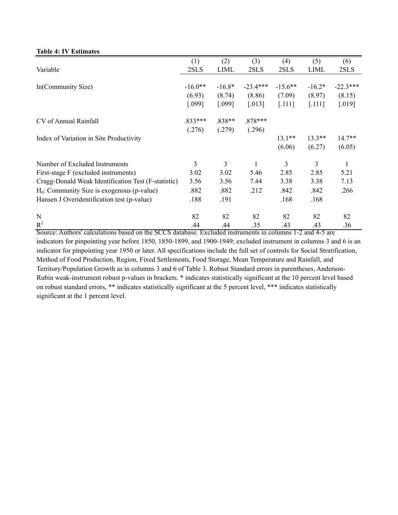|                                                          | (1)       | (2)         | (3)                                             | (4)       | (5)                      | (6)                  |
|----------------------------------------------------------|-----------|-------------|-------------------------------------------------|-----------|--------------------------|----------------------|
| Variable                                                 | 2SLS      | <b>LIML</b> | 2SLS                                            | 2SLS      | <b>LIML</b>              | 2SLS                 |
|                                                          |           |             |                                                 |           |                          |                      |
| In(Community Size)                                       | $-16.0**$ | $-16.8*$    | $-23.4***$                                      | $-15.6**$ | $-16.2*$                 | $-22.3***$           |
|                                                          | (6.93)    | (8.74)      | (8.86)                                          | (7.09)    | (8.97)                   | (8.15)               |
|                                                          | [.099]    | $[.099]$    | $[.013]$                                        | $[.111]$  | [.111]                   | $\left[ .019\right]$ |
| CV of Annual Rainfall                                    | .833***   | .838**      | .878***                                         |           |                          |                      |
|                                                          | (.276)    | (.279)      | (.296)                                          |           |                          |                      |
| Index of Variation in Site Productivity                  |           |             |                                                 | $13.1**$  | $13.3**$                 | $14.7**$             |
|                                                          |           |             |                                                 | (6.06)    | (6.27)                   | (6.05)               |
| Number of Excluded Instruments                           | 3         | 3           | 1                                               | 3         | 3                        |                      |
| First-stage F (excluded instruments)                     | 3.02      | 3.02        | 5.46                                            | 2.85      | 2.85                     | 5.21                 |
| Cragg-Donald Weak Identification Test (F-statistic)      | 3.56      | 3.56        | 7.44                                            | 3.38      | 3.38                     | 7.13                 |
| $H_0$ : Community Size is exogenous (p-value)            | .882      | .882        | .212                                            | .842      | .842                     | .266                 |
| Hansen J Overidentification test (p-value)               | .188      | .191        |                                                 | .168      | .168                     |                      |
| $\mathbf N$                                              | 82        | 82          | 82                                              | 82        | 82                       | 82                   |
| $R^2$<br>Source: Authors' calculations based on the SCCS | .44       | .44         | .35<br>database Excluded instruments in columns | .43       | .43<br>$2$ and $4.5$ are | .36                  |

# Source: Authors' calculations based on the SCCS database. Excluded instruments in columns 1-2 and 4-5 are indicators for pinpointing year before 1850, 1850-1899, and 1900-1949; excluded instrument in columns 3 and 6 is an indicator for pinpointing year 1950 or later. All specifications include the full set of controls for Social Stratification, Method of Food Production, Region, Fixed Settlements, Food Storage, Mean Temperature and Rainfall, and Territory/Population Growth as in columns 3 and 6 of Table 3. Robust Standard errors in parentheses, Anderson-Rubin weak-instrument robust p-values in brackets. \* indicates statistically significant at the 10 percent level based on robust standard errors, \*\* indicates statistically significant at the 5 percent level, \*\*\* indicates statistically significant at the 1 percent level.

#### **Table 4: IV Estimates**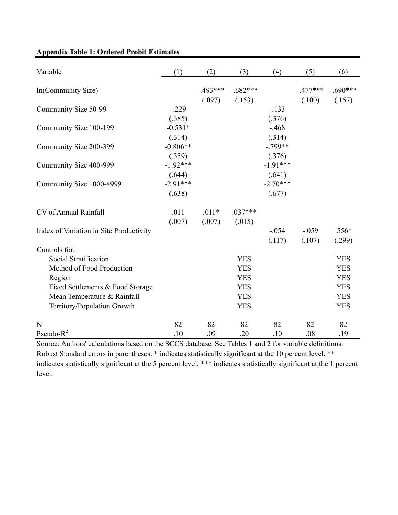| Variable                                | (1)        | (2)       | (3)        | (4)        | (5)       | (6)        |
|-----------------------------------------|------------|-----------|------------|------------|-----------|------------|
| In(Community Size)                      |            | $-493***$ | $-.682***$ |            | $-477***$ | $-.690***$ |
|                                         |            | (.097)    | (.153)     |            | (.100)    | (.157)     |
| Community Size 50-99                    | $-229$     |           |            | $-.133$    |           |            |
|                                         | (.385)     |           |            | (.376)     |           |            |
| Community Size 100-199                  | $-0.531*$  |           |            | $-.468$    |           |            |
|                                         | (.314)     |           |            | (.314)     |           |            |
| Community Size 200-399                  | $-0.806**$ |           |            | $-.799**$  |           |            |
|                                         | (.359)     |           |            | (.376)     |           |            |
| Community Size 400-999                  | $-1.92***$ |           |            | $-1.91***$ |           |            |
|                                         | (.644)     |           |            | (.641)     |           |            |
| Community Size 1000-4999                | $-2.91***$ |           |            | $-2.70***$ |           |            |
|                                         | (.638)     |           |            | (.677)     |           |            |
| CV of Annual Rainfall                   | .011       | $.011*$   | $.037***$  |            |           |            |
|                                         | (.007)     | (.007)    | (.015)     |            |           |            |
| Index of Variation in Site Productivity |            |           |            | $-0.054$   | $-.059$   | $.556*$    |
|                                         |            |           |            | (.117)     | (.107)    | (.299)     |
| Controls for:                           |            |           |            |            |           |            |
| Social Stratification                   |            |           | <b>YES</b> |            |           | <b>YES</b> |
| Method of Food Production               |            |           | <b>YES</b> |            |           | <b>YES</b> |
| Region                                  |            |           | <b>YES</b> |            |           | <b>YES</b> |
| Fixed Settlements & Food Storage        |            |           | <b>YES</b> |            |           | <b>YES</b> |
| Mean Temperature & Rainfall             |            |           | <b>YES</b> |            |           | <b>YES</b> |
| Territory/Population Growth             |            |           | <b>YES</b> |            |           | <b>YES</b> |
| N                                       | 82         | 82        | 82         | 82         | 82        | 82         |
| Pseudo- $R^2$                           | .10        | .09       | .20        | .10        | .08       | .19        |

# **Appendix Table 1: Ordered Probit Estimates**

Source: Authors' calculations based on the SCCS database. See Tables 1 and 2 for variable definitions. Robust Standard errors in parentheses. \* indicates statistically significant at the 10 percent level, \*\* indicates statistically significant at the 5 percent level, \*\*\* indicates statistically significant at the 1 percent level.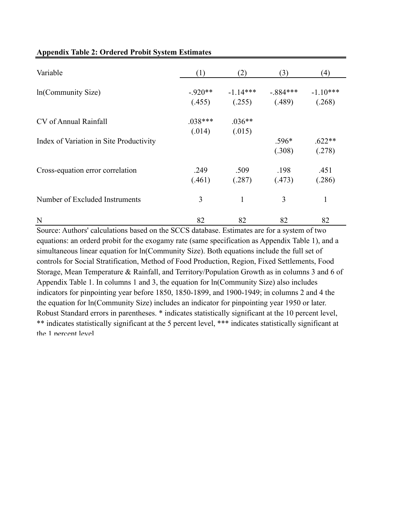| Variable                                | (1)       | (2)        | (3)       | (4)        |
|-----------------------------------------|-----------|------------|-----------|------------|
| In(Community Size)                      | $-920**$  | $-1.14***$ | $-884***$ | $-1.10***$ |
|                                         | (.455)    | (.255)     | (.489)    | (.268)     |
| CV of Annual Rainfall                   | $.038***$ | $.036**$   |           |            |
|                                         | (.014)    | (.015)     |           |            |
| Index of Variation in Site Productivity |           |            | $.596*$   | $.622**$   |
|                                         |           |            | (.308)    | (.278)     |
| Cross-equation error correlation        | .249      | .509       | .198      | .451       |
|                                         | (.461)    | (.287)     | (.473)    | (.286)     |
| Number of Excluded Instruments          | 3         | 1          | 3         | 1          |
| N                                       | 82        | 82         | 82        | 82         |

## **Appendix Table 2: Ordered Probit System Estimates**

Source: Authors' calculations based on the SCCS database. Estimates are for a system of two equations: an orderd probit for the exogamy rate (same specification as Appendix Table 1), and a simultaneous linear equation for ln(Community Size). Both equations include the full set of controls for Social Stratification, Method of Food Production, Region, Fixed Settlements, Food Storage, Mean Temperature & Rainfall, and Territory/Population Growth as in columns 3 and 6 of Appendix Table 1. In columns 1 and 3, the equation for ln(Community Size) also includes indicators for pinpointing year before 1850, 1850-1899, and 1900-1949; in columns 2 and 4 the the equation for ln(Community Size) includes an indicator for pinpointing year 1950 or later. Robust Standard errors in parentheses. \* indicates statistically significant at the 10 percent level, \*\* indicates statistically significant at the 5 percent level, \*\*\* indicates statistically significant at the 1 nercent level.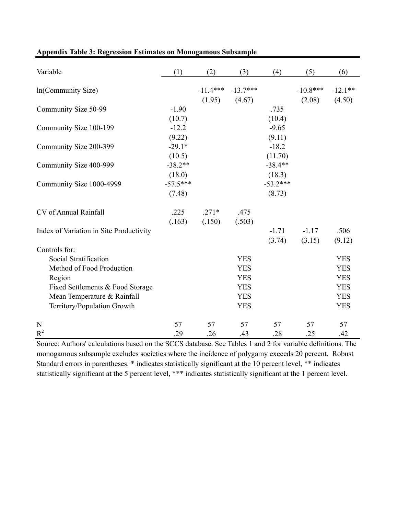| Variable                                | (1)        | (2)        | (3)        | (4)        | (5)        | (6)        |
|-----------------------------------------|------------|------------|------------|------------|------------|------------|
| In(Community Size)                      |            | $-11.4***$ | $-13.7***$ |            | $-10.8***$ | $-12.1**$  |
|                                         |            | (1.95)     | (4.67)     |            | (2.08)     | (4.50)     |
| Community Size 50-99                    | $-1.90$    |            |            | .735       |            |            |
|                                         | (10.7)     |            |            | (10.4)     |            |            |
| Community Size 100-199                  | $-12.2$    |            |            | $-9.65$    |            |            |
|                                         | (9.22)     |            |            | (9.11)     |            |            |
| Community Size 200-399                  | $-29.1*$   |            |            | $-18.2$    |            |            |
|                                         | (10.5)     |            |            | (11.70)    |            |            |
| Community Size 400-999                  | $-38.2**$  |            |            | $-38.4**$  |            |            |
|                                         | (18.0)     |            |            | (18.3)     |            |            |
| Community Size 1000-4999                | $-57.5***$ |            |            | $-53.2***$ |            |            |
|                                         | (7.48)     |            |            | (8.73)     |            |            |
| CV of Annual Rainfall                   | .225       | $.271*$    | .475       |            |            |            |
|                                         | (.163)     | (.150)     | (.503)     |            |            |            |
| Index of Variation in Site Productivity |            |            |            | $-1.71$    | $-1.17$    | .506       |
|                                         |            |            |            | (3.74)     | (3.15)     | (9.12)     |
| Controls for:                           |            |            |            |            |            |            |
| Social Stratification                   |            |            | <b>YES</b> |            |            | <b>YES</b> |
| Method of Food Production               |            |            | <b>YES</b> |            |            | <b>YES</b> |
| Region                                  |            |            | <b>YES</b> |            |            | <b>YES</b> |
| Fixed Settlements & Food Storage        |            |            | <b>YES</b> |            |            | <b>YES</b> |
| Mean Temperature & Rainfall             |            |            | <b>YES</b> |            |            | <b>YES</b> |
| Territory/Population Growth             |            |            | <b>YES</b> |            |            | <b>YES</b> |
| N                                       | 57         | 57         | 57         | 57         | 57         | 57         |
| $R^2$                                   | .29        | .26        | .43        | .28        | .25        | .42        |

# **Appendix Table 3: Regression Estimates on Monogamous Subsample**

Source: Authors' calculations based on the SCCS database. See Tables 1 and 2 for variable definitions. The monogamous subsample excludes societies where the incidence of polygamy exceeds 20 percent. Robust Standard errors in parentheses. \* indicates statistically significant at the 10 percent level, \*\* indicates statistically significant at the 5 percent level, \*\*\* indicates statistically significant at the 1 percent level.